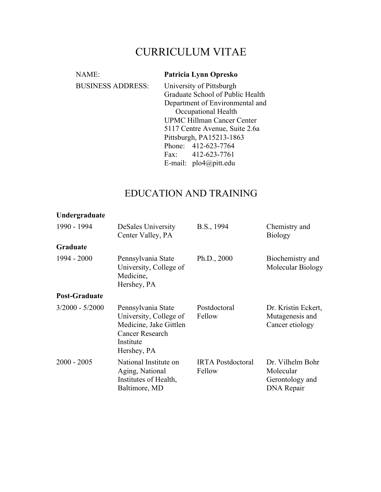# CURRICULUM VITAE

| NAME:                    | Patricia Lynn Opresko                                               |  |  |
|--------------------------|---------------------------------------------------------------------|--|--|
| <b>BUSINESS ADDRESS:</b> | University of Pittsburgh                                            |  |  |
|                          | Graduate School of Public Health                                    |  |  |
|                          | Department of Environmental and                                     |  |  |
|                          | Occupational Health                                                 |  |  |
|                          | <b>UPMC Hillman Cancer Center</b><br>5117 Centre Avenue, Suite 2.6a |  |  |
|                          |                                                                     |  |  |
|                          | Pittsburgh, PA15213-1863                                            |  |  |
|                          | Phone: 412-623-7764                                                 |  |  |
|                          | Fax: $412-623-7761$                                                 |  |  |
|                          | E-mail: $plo4@pitt.edu$                                             |  |  |

# EDUCATION AND TRAINING

| Undergraduate        |                                                                                                                       |                                    |                                                                |
|----------------------|-----------------------------------------------------------------------------------------------------------------------|------------------------------------|----------------------------------------------------------------|
| 1990 - 1994          | DeSales University<br>Center Valley, PA                                                                               | B.S., 1994                         | Chemistry and<br><b>Biology</b>                                |
| Graduate             |                                                                                                                       |                                    |                                                                |
| 1994 - 2000          | Pennsylvania State<br>University, College of<br>Medicine,<br>Hershey, PA                                              | Ph.D., 2000                        | Biochemistry and<br>Molecular Biology                          |
| <b>Post-Graduate</b> |                                                                                                                       |                                    |                                                                |
| $3/2000 - 5/2000$    | Pennsylvania State<br>University, College of<br>Medicine, Jake Gittlen<br>Cancer Research<br>Institute<br>Hershey, PA | Postdoctoral<br>Fellow             | Dr. Kristin Eckert,<br>Mutagenesis and<br>Cancer etiology      |
| $2000 - 2005$        | National Institute on<br>Aging, National<br>Institutes of Health,<br>Baltimore, MD                                    | <b>IRTA</b> Postdoctoral<br>Fellow | Dr. Vilhelm Bohr<br>Molecular<br>Gerontology and<br>DNA Repair |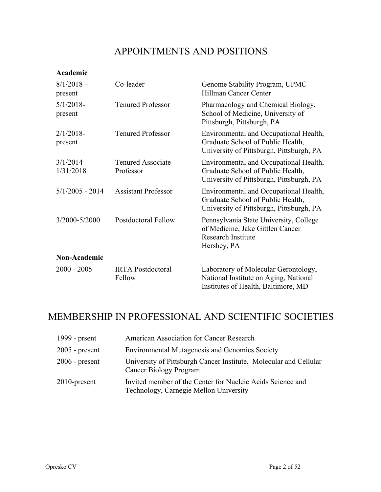## APPOINTMENTS AND POSITIONS

### **Academic**

| $8/1/2018 -$<br>present  | Co-leader                             | Genome Stability Program, UPMC<br>Hillman Cancer Center                                                                 |
|--------------------------|---------------------------------------|-------------------------------------------------------------------------------------------------------------------------|
| $5/1/2018$ -<br>present  | <b>Tenured Professor</b>              | Pharmacology and Chemical Biology,<br>School of Medicine, University of<br>Pittsburgh, Pittsburgh, PA                   |
| $2/1/2018$ -<br>present  | <b>Tenured Professor</b>              | Environmental and Occupational Health,<br>Graduate School of Public Health,<br>University of Pittsburgh, Pittsburgh, PA |
| $3/1/2014-$<br>1/31/2018 | <b>Tenured Associate</b><br>Professor | Environmental and Occupational Health,<br>Graduate School of Public Health,<br>University of Pittsburgh, Pittsburgh, PA |
| $5/1/2005 - 2014$        | <b>Assistant Professor</b>            | Environmental and Occupational Health,<br>Graduate School of Public Health,<br>University of Pittsburgh, Pittsburgh, PA |
| 3/2000-5/2000            | <b>Postdoctoral Fellow</b>            | Pennsylvania State University, College<br>of Medicine, Jake Gittlen Cancer<br><b>Research Institute</b><br>Hershey, PA  |
| Non-Academic             |                                       |                                                                                                                         |
| $2000 - 2005$            | <b>IRTA</b> Postdoctoral<br>Fellow    | Laboratory of Molecular Gerontology,<br>National Institute on Aging, National<br>Institutes of Health, Baltimore, MD    |

# MEMBERSHIP IN PROFESSIONAL AND SCIENTIFIC SOCIETIES

| 1999 - prsent    | American Association for Cancer Research                                                             |
|------------------|------------------------------------------------------------------------------------------------------|
| $2005$ - present | <b>Environmental Mutagenesis and Genomics Society</b>                                                |
| $2006$ - present | University of Pittsburgh Cancer Institute. Molecular and Cellular<br><b>Cancer Biology Program</b>   |
| $2010$ -present  | Invited member of the Center for Nucleic Acids Science and<br>Technology, Carnegie Mellon University |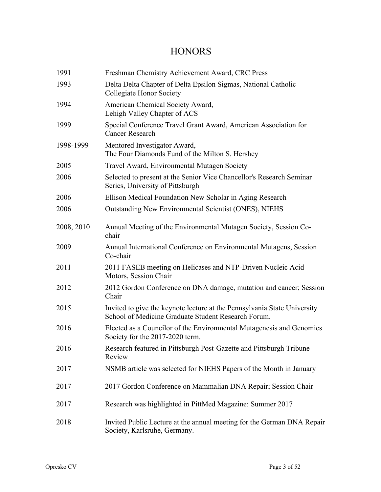### **HONORS**

| 1991       | Freshman Chemistry Achievement Award, CRC Press                                                                                 |
|------------|---------------------------------------------------------------------------------------------------------------------------------|
| 1993       | Delta Delta Chapter of Delta Epsilon Sigmas, National Catholic<br><b>Collegiate Honor Society</b>                               |
| 1994       | American Chemical Society Award,<br>Lehigh Valley Chapter of ACS                                                                |
| 1999       | Special Conference Travel Grant Award, American Association for<br><b>Cancer Research</b>                                       |
| 1998-1999  | Mentored Investigator Award,<br>The Four Diamonds Fund of the Milton S. Hershey                                                 |
| 2005       | Travel Award, Environmental Mutagen Society                                                                                     |
| 2006       | Selected to present at the Senior Vice Chancellor's Research Seminar<br>Series, University of Pittsburgh                        |
| 2006       | Ellison Medical Foundation New Scholar in Aging Research                                                                        |
| 2006       | Outstanding New Environmental Scientist (ONES), NIEHS                                                                           |
| 2008, 2010 | Annual Meeting of the Environmental Mutagen Society, Session Co-<br>chair                                                       |
| 2009       | Annual International Conference on Environmental Mutagens, Session<br>Co-chair                                                  |
| 2011       | 2011 FASEB meeting on Helicases and NTP-Driven Nucleic Acid<br>Motors, Session Chair                                            |
| 2012       | 2012 Gordon Conference on DNA damage, mutation and cancer; Session<br>Chair                                                     |
| 2015       | Invited to give the keynote lecture at the Pennsylvania State University<br>School of Medicine Graduate Student Research Forum. |
| 2016       | Elected as a Councilor of the Environmental Mutagenesis and Genomics<br>Society for the 2017-2020 term.                         |
| 2016       | Research featured in Pittsburgh Post-Gazette and Pittsburgh Tribune<br>Review                                                   |
| 2017       | NSMB article was selected for NIEHS Papers of the Month in January                                                              |
| 2017       | 2017 Gordon Conference on Mammalian DNA Repair; Session Chair                                                                   |
| 2017       | Research was highlighted in PittMed Magazine: Summer 2017                                                                       |
| 2018       | Invited Public Lecture at the annual meeting for the German DNA Repair<br>Society, Karlsruhe, Germany.                          |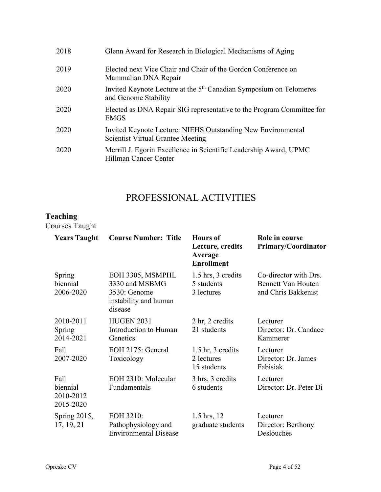| Glenn Award for Research in Biological Mechanisms of Aging                                               |
|----------------------------------------------------------------------------------------------------------|
| Elected next Vice Chair and Chair of the Gordon Conference on<br>Mammalian DNA Repair                    |
| Invited Keynote Lecture at the 5 <sup>th</sup> Canadian Symposium on Telomeres<br>and Genome Stability   |
| Elected as DNA Repair SIG representative to the Program Committee for<br><b>EMGS</b>                     |
| Invited Keynote Lecture: NIEHS Outstanding New Environmental<br><b>Scientist Virtual Grantee Meeting</b> |
| Merrill J. Egorin Excellence in Scientific Leadership Award, UPMC<br>Hillman Cancer Center               |
|                                                                                                          |

# PROFESSIONAL ACTIVITIES

### **Teaching**

Courses Taught

| <b>Years Taught</b>                        | <b>Course Number: Title</b>                                                            | <b>Hours</b> of<br>Lecture, credits<br>Average<br><b>Enrollment</b> | Role in course<br>Primary/Coordinator                                     |
|--------------------------------------------|----------------------------------------------------------------------------------------|---------------------------------------------------------------------|---------------------------------------------------------------------------|
| Spring<br>biennial<br>2006-2020            | EOH 3305, MSMPHL<br>3330 and MSBMG<br>3530: Genome<br>instability and human<br>disease | 1.5 hrs, 3 credits<br>5 students<br>3 lectures                      | Co-director with Drs.<br><b>Bennett Van Houten</b><br>and Chris Bakkenist |
| 2010-2011<br>Spring<br>2014-2021           | <b>HUGEN 2031</b><br>Introduction to Human<br>Genetics                                 | 2 hr, 2 credits<br>21 students                                      | Lecturer<br>Director: Dr. Candace<br>Kammerer                             |
| Fall<br>2007-2020                          | EOH 2175: General<br>Toxicology                                                        | $1.5 \text{ hr}$ , 3 credits<br>2 lectures<br>15 students           | Lecturer<br>Director: Dr. James<br>Fabisiak                               |
| Fall<br>biennial<br>2010-2012<br>2015-2020 | EOH 2310: Molecular<br>Fundamentals                                                    | 3 hrs, 3 credits<br>6 students                                      | Lecturer<br>Director: Dr. Peter Di                                        |
| Spring $2015$ ,<br>17, 19, 21              | EOH 3210:<br>Pathophysiology and<br><b>Environmental Disease</b>                       | 1.5 hrs, 12<br>graduate students                                    | Lecturer<br>Director: Berthony<br>Deslouches                              |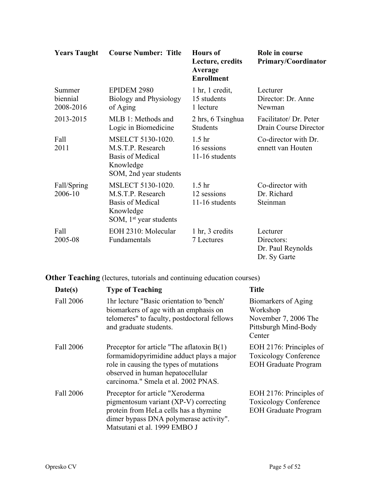| <b>Years Taught</b>             | <b>Course Number: Title</b>                                                                                | <b>Hours</b> of<br>Lecture, credits<br>Average<br><b>Enrollment</b> | Role in course<br><b>Primary/Coordinator</b>                |
|---------------------------------|------------------------------------------------------------------------------------------------------------|---------------------------------------------------------------------|-------------------------------------------------------------|
| Summer<br>biennial<br>2008-2016 | EPIDEM 2980<br>Biology and Physiology<br>of Aging                                                          | $1 \text{ hr}$ , $1 \text{ credit}$ ,<br>15 students<br>1 lecture   | Lecturer<br>Director: Dr. Anne<br>Newman                    |
| 2013-2015                       | MLB 1: Methods and<br>Logic in Biomedicine                                                                 | 2 hrs, 6 Tsinghua<br><b>Students</b>                                | Facilitator/ Dr. Peter<br>Drain Course Director             |
| Fall<br>2011                    | MSELCT 5130-1020.<br>M.S.T.P. Research<br><b>Basis of Medical</b><br>Knowledge<br>SOM, 2nd year students   | 1.5 <sub>hr</sub><br>16 sessions<br>11-16 students                  | Co-director with Dr.<br>ennett van Houten                   |
| Fall/Spring<br>2006-10          | MSLECT 5130-1020.<br>M.S.T.P. Research<br><b>Basis of Medical</b><br>Knowledge<br>SOM, $1st$ year students | 1.5 <sub>hr</sub><br>12 sessions<br>11-16 students                  | Co-director with<br>Dr. Richard<br>Steinman                 |
| Fall<br>2005-08                 | EOH 2310: Molecular<br>Fundamentals                                                                        | 1 hr, 3 credits<br>7 Lectures                                       | Lecturer<br>Directors:<br>Dr. Paul Reynolds<br>Dr. Sy Garte |

**Other Teaching** (lectures, tutorials and continuing education courses)

| Date(s)   | <b>Type of Teaching</b>                                                                                                                                                                                      | <b>Title</b>                                                                              |
|-----------|--------------------------------------------------------------------------------------------------------------------------------------------------------------------------------------------------------------|-------------------------------------------------------------------------------------------|
| Fall 2006 | 1hr lecture "Basic orientation to 'bench'<br>biomarkers of age with an emphasis on<br>telomeres" to faculty, postdoctoral fellows<br>and graduate students.                                                  | Biomarkers of Aging<br>Workshop<br>November 7, 2006 The<br>Pittsburgh Mind-Body<br>Center |
| Fall 2006 | Preceptor for article "The aflatoxin $B(1)$<br>formamidopyrimidine adduct plays a major<br>role in causing the types of mutations<br>observed in human hepatocellular<br>carcinoma." Smela et al. 2002 PNAS. | EOH 2176: Principles of<br><b>Toxicology Conference</b><br><b>EOH Graduate Program</b>    |
| Fall 2006 | Preceptor for article "Xeroderma"<br>pigmentosum variant (XP-V) correcting<br>protein from HeLa cells has a thymine<br>dimer bypass DNA polymerase activity".<br>Matsutani et al. 1999 EMBO J                | EOH 2176: Principles of<br><b>Toxicology Conference</b><br><b>EOH Graduate Program</b>    |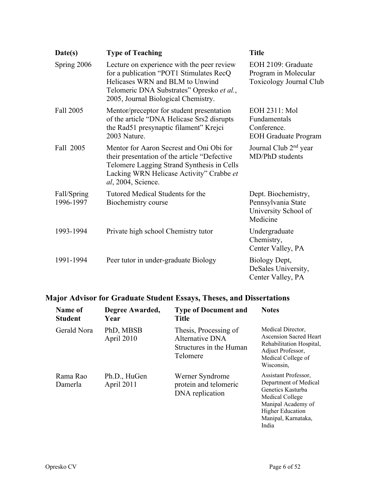| Date(s)                  | <b>Type of Teaching</b>                                                                                                                                                                                           | <b>Title</b>                                                                  |
|--------------------------|-------------------------------------------------------------------------------------------------------------------------------------------------------------------------------------------------------------------|-------------------------------------------------------------------------------|
| Spring 2006              | Lecture on experience with the peer review<br>for a publication "POT1 Stimulates RecQ<br>Helicases WRN and BLM to Unwind<br>Telomeric DNA Substrates" Opresko et al.,<br>2005, Journal Biological Chemistry.      | EOH 2109: Graduate<br>Program in Molecular<br>Toxicology Journal Club         |
| Fall 2005                | Mentor/preceptor for student presentation<br>of the article "DNA Helicase Srs2 disrupts"<br>the Rad51 presynaptic filament" Krejci<br>2003 Nature.                                                                | EOH 2311: Mol<br>Fundamentals<br>Conference.<br><b>EOH Graduate Program</b>   |
| Fall 2005                | Mentor for Aaron Secrest and Oni Obi for<br>their presentation of the article "Defective"<br>Telomere Lagging Strand Synthesis in Cells<br>Lacking WRN Helicase Activity" Crabbe et<br><i>al</i> , 2004, Science. | Journal Club 2 <sup>nd</sup> year<br>MD/PhD students                          |
| Fall/Spring<br>1996-1997 | Tutored Medical Students for the<br>Biochemistry course                                                                                                                                                           | Dept. Biochemistry,<br>Pennsylvania State<br>University School of<br>Medicine |
| 1993-1994                | Private high school Chemistry tutor                                                                                                                                                                               | Undergraduate<br>Chemistry,<br>Center Valley, PA                              |
| 1991-1994                | Peer tutor in under-graduate Biology                                                                                                                                                                              | Biology Dept,<br>DeSales University,<br>Center Valley, PA                     |

## **Major Advisor for Graduate Student Essays, Theses, and Dissertations**

| Name of<br><b>Student</b> | Degree Awarded,<br>Year    | <b>Type of Document and</b><br><b>Title</b>                                     | <b>Notes</b>                                                                                                                                                           |
|---------------------------|----------------------------|---------------------------------------------------------------------------------|------------------------------------------------------------------------------------------------------------------------------------------------------------------------|
| Gerald Nora               | PhD, MBSB<br>April 2010    | Thesis, Processing of<br>Alternative DNA<br>Structures in the Human<br>Telomere | Medical Director,<br><b>Ascension Sacred Heart</b><br>Rehabilitation Hospital,<br>Adjuct Professor,<br>Medical College of<br>Wisconsin,                                |
| Rama Rao<br>Damerla       | Ph.D., HuGen<br>April 2011 | Werner Syndrome<br>protein and telomeric<br>DNA replication                     | Assistant Professor,<br>Department of Medical<br>Genetics Kasturba<br>Medical College<br>Manipal Academy of<br><b>Higher Education</b><br>Manipal, Karnataka,<br>India |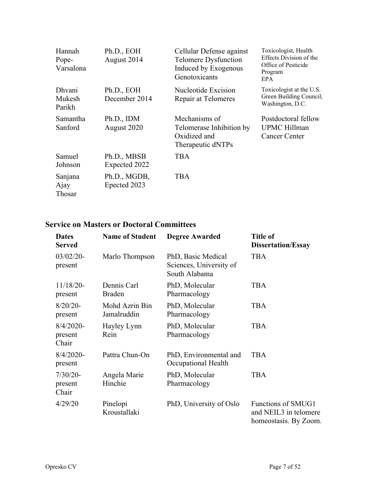| Hannah<br>Pope-<br>Varsalona      | Ph.D., EOH<br>August 2014    | Cellular Defense against<br>Telomere Dysfunction<br>Induced by Exogenous<br>Genotoxicants | Toxicologist, Health<br>Effects Division of the<br>Office of Pesticide<br>Program<br>EPA. |
|-----------------------------------|------------------------------|-------------------------------------------------------------------------------------------|-------------------------------------------------------------------------------------------|
| <b>Dhvani</b><br>Mukesh<br>Parikh | Ph.D., EOH<br>December 2014  | Nucleotide Excision<br>Repair at Telomeres                                                | Toxicologist at the U.S.<br>Green Building Council,<br>Washington, D.C.                   |
| Samantha<br>Sanford               | Ph.D., IDM<br>August 2020    | Mechanisms of<br>Telomerase Inhibition by<br>Oxidized and<br>Therapeutic dNTPs            | Postdoctoral fellow<br><b>UPMC</b> Hillman<br><b>Cancer Center</b>                        |
| Samuel<br>Johnson                 | Ph.D., MBSB<br>Expected 2022 | <b>TBA</b>                                                                                |                                                                                           |
| Sanjana<br>Ajay<br>Thosar         | Ph.D., MGDB,<br>Epected 2023 | <b>TBA</b>                                                                                |                                                                                           |

### **Service on Masters or Doctoral Committees**

| <b>Dates</b><br><b>Served</b>    | <b>Name of Student</b>        | <b>Degree Awarded</b>                                          | <b>Title of</b><br><b>Dissertation/Essay</b>                         |
|----------------------------------|-------------------------------|----------------------------------------------------------------|----------------------------------------------------------------------|
| $03/02/20$ -<br>present          | Marlo Thompson                | PhD, Basic Medical<br>Sciences, University of<br>South Alabama | <b>TBA</b>                                                           |
| $11/18/20$ -<br>present          | Dennis Carl<br><b>Braden</b>  | PhD, Molecular<br>Pharmacology                                 | <b>TBA</b>                                                           |
| $8/20/20$ -<br>present           | Mohd Azrin Bin<br>Jamalruddin | PhD, Molecular<br>Pharmacology                                 | <b>TBA</b>                                                           |
| $8/4/2020$ -<br>present<br>Chair | Hayley Lynn<br>Rein           | PhD, Molecular<br>Pharmacology                                 | <b>TBA</b>                                                           |
| $8/4/2020$ -<br>present          | Pattra Chun-On                | PhD, Environmental and<br>Occupational Health                  | <b>TBA</b>                                                           |
| $7/30/20-$<br>present<br>Chair   | Angela Marie<br>Hinchie       | PhD, Molecular<br>Pharmacology                                 | <b>TBA</b>                                                           |
| 4/29/20                          | Pinelopi<br>Kroustallaki      | PhD, University of Oslo                                        | Functions of SMUG1<br>and NEIL3 in telomere<br>homeostasis. By Zoom. |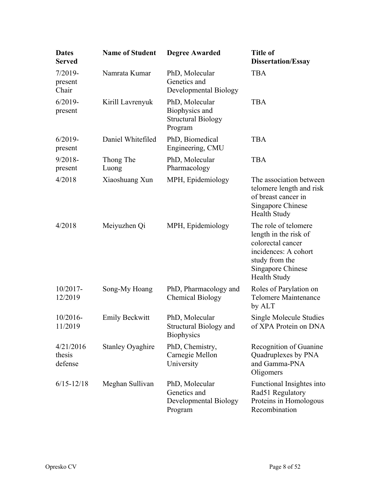| <b>Dates</b><br><b>Served</b>  | <b>Name of Student</b>  | <b>Degree Awarded</b>                                                    | <b>Title of</b><br><b>Dissertation/Essay</b>                                                                                                             |
|--------------------------------|-------------------------|--------------------------------------------------------------------------|----------------------------------------------------------------------------------------------------------------------------------------------------------|
| $7/2019-$<br>present<br>Chair  | Namrata Kumar           | PhD, Molecular<br>Genetics and<br>Developmental Biology                  | <b>TBA</b>                                                                                                                                               |
| $6/2019-$<br>present           | Kirill Lavrenyuk        | PhD, Molecular<br>Biophysics and<br><b>Structural Biology</b><br>Program | <b>TBA</b>                                                                                                                                               |
| $6/2019-$<br>present           | Daniel Whitefiled       | PhD, Biomedical<br>Engineering, CMU                                      | <b>TBA</b>                                                                                                                                               |
| $9/2018 -$<br>present          | Thong The<br>Luong      | PhD, Molecular<br>Pharmacology                                           | <b>TBA</b>                                                                                                                                               |
| 4/2018                         | Xiaoshuang Xun          | MPH, Epidemiology                                                        | The association between<br>telomere length and risk<br>of breast cancer in<br>Singapore Chinese<br><b>Health Study</b>                                   |
| 4/2018                         | Meiyuzhen Qi            | MPH, Epidemiology                                                        | The role of telomere<br>length in the risk of<br>colorectal cancer<br>incidences: A cohort<br>study from the<br>Singapore Chinese<br><b>Health Study</b> |
| $10/2017 -$<br>12/2019         | Song-My Hoang           | PhD, Pharmacology and<br><b>Chemical Biology</b>                         | Roles of Parylation on<br><b>Telomere Maintenance</b><br>by ALT                                                                                          |
| $10/2016$ -<br>11/2019         | <b>Emily Beckwitt</b>   | PhD, Molecular<br>Structural Biology and<br><b>Biophysics</b>            | Single Molecule Studies<br>of XPA Protein on DNA                                                                                                         |
| 4/21/2016<br>thesis<br>defense | <b>Stanley Oyaghire</b> | PhD, Chemistry,<br>Carnegie Mellon<br>University                         | Recognition of Guanine<br>Quadruplexes by PNA<br>and Gamma-PNA<br>Oligomers                                                                              |
| $6/15 - 12/18$                 | Meghan Sullivan         | PhD, Molecular<br>Genetics and<br>Developmental Biology<br>Program       | Functional Insightes into<br>Rad51 Regulatory<br>Proteins in Homologous<br>Recombination                                                                 |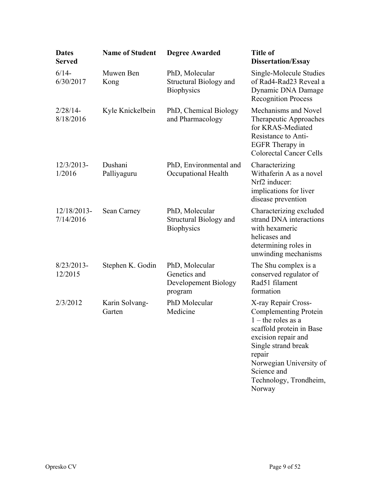| <b>Dates</b><br>Served   | <b>Name of Student</b>   | <b>Degree Awarded</b>                                                | <b>Title of</b><br><b>Dissertation/Essay</b>                                                                                                                                                                                                  |
|--------------------------|--------------------------|----------------------------------------------------------------------|-----------------------------------------------------------------------------------------------------------------------------------------------------------------------------------------------------------------------------------------------|
| $6/14-$<br>6/30/2017     | Muwen Ben<br>Kong        | PhD, Molecular<br><b>Structural Biology and</b><br><b>Biophysics</b> | Single-Molecule Studies<br>of Rad4-Rad23 Reveal a<br>Dynamic DNA Damage<br><b>Recognition Process</b>                                                                                                                                         |
| 2/28/14-<br>8/18/2016    | Kyle Knickelbein         | PhD, Chemical Biology<br>and Pharmacology                            | Mechanisms and Novel<br>Therapeutic Approaches<br>for KRAS-Mediated<br>Resistance to Anti-<br>EGFR Therapy in<br><b>Colorectal Cancer Cells</b>                                                                                               |
| $12/3/2013-$<br>1/2016   | Dushani<br>Palliyaguru   | PhD, Environmental and<br>Occupational Health                        | Characterizing<br>Withaferin A as a novel<br>Nrf2 inducer:<br>implications for liver<br>disease prevention                                                                                                                                    |
| 12/18/2013-<br>7/14/2016 | Sean Carney              | PhD, Molecular<br><b>Structural Biology and</b><br><b>Biophysics</b> | Characterizing excluded<br>strand DNA interactions<br>with hexameric<br>helicases and<br>determining roles in<br>unwinding mechanisms                                                                                                         |
| 8/23/2013-<br>12/2015    | Stephen K. Godin         | PhD, Molecular<br>Genetics and<br>Developement Biology<br>program    | The Shu complex is a<br>conserved regulator of<br>Rad51 filament<br>formation                                                                                                                                                                 |
| 2/3/2012                 | Karin Solvang-<br>Garten | PhD Molecular<br>Medicine                                            | X-ray Repair Cross-<br><b>Complementing Protein</b><br>$1$ – the roles as a<br>scaffold protein in Base<br>excision repair and<br>Single strand break<br>repair<br>Norwegian University of<br>Science and<br>Technology, Trondheim,<br>Norway |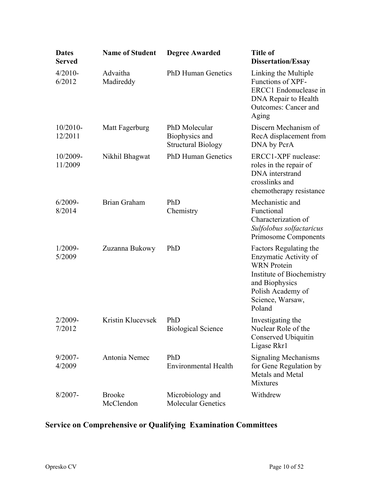| <b>Dates</b><br><b>Served</b> | <b>Name of Student</b>     | <b>Degree Awarded</b>                                        | <b>Title of</b><br><b>Dissertation/Essay</b>                                                                                                                            |
|-------------------------------|----------------------------|--------------------------------------------------------------|-------------------------------------------------------------------------------------------------------------------------------------------------------------------------|
| $4/2010-$<br>6/2012           | Advaitha<br>Madireddy      | <b>PhD Human Genetics</b>                                    | Linking the Multiple<br>Functions of XPF-<br>ERCC1 Endonuclease in<br>DNA Repair to Health<br><b>Outcomes: Cancer and</b><br>Aging                                      |
| $10/2010-$<br>12/2011         | Matt Fagerburg             | PhD Molecular<br>Biophysics and<br><b>Structural Biology</b> | Discern Mechanism of<br>RecA displacement from<br>DNA by PcrA                                                                                                           |
| 10/2009-<br>11/2009           | Nikhil Bhagwat             | <b>PhD Human Genetics</b>                                    | ERCC1-XPF nuclease:<br>roles in the repair of<br>DNA interstrand<br>crosslinks and<br>chemotherapy resistance                                                           |
| $6/2009 -$<br>8/2014          | Brian Graham               | PhD<br>Chemistry                                             | Mechanistic and<br>Functional<br>Characterization of<br>Sulfolobus solfactaricus<br><b>Primosome Components</b>                                                         |
| $1/2009 -$<br>5/2009          | Zuzanna Bukowy             | PhD                                                          | Factors Regulating the<br>Enzymatic Activity of<br><b>WRN</b> Protein<br>Institute of Biochemistry<br>and Biophysics<br>Polish Academy of<br>Science, Warsaw,<br>Poland |
| $2/2009 -$<br>7/2012          | Kristin Klucevsek          | PhD<br><b>Biological Science</b>                             | Investigating the<br>Nuclear Role of the<br>Conserved Ubiquitin<br>Ligase Rkr1                                                                                          |
| $9/2007 -$<br>4/2009          | Antonia Nemec              | PhD<br><b>Environmental Health</b>                           | <b>Signaling Mechanisms</b><br>for Gene Regulation by<br>Metals and Metal<br><b>Mixtures</b>                                                                            |
| $8/2007 -$                    | <b>Brooke</b><br>McClendon | Microbiology and<br><b>Molecular Genetics</b>                | Withdrew                                                                                                                                                                |

# **Service on Comprehensive or Qualifying Examination Committees**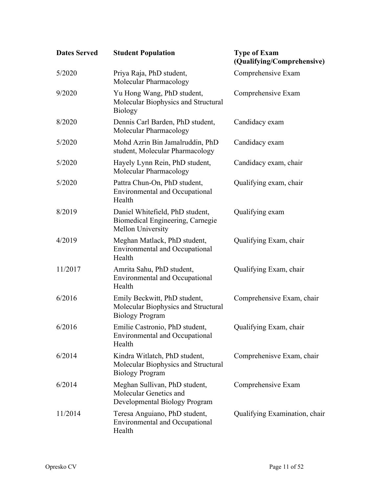| <b>Dates Served</b> | <b>Student Population</b>                                                                      | <b>Type of Exam</b><br>(Qualifying/Comprehensive) |
|---------------------|------------------------------------------------------------------------------------------------|---------------------------------------------------|
| 5/2020              | Priya Raja, PhD student,<br>Molecular Pharmacology                                             | Comprehensive Exam                                |
| 9/2020              | Yu Hong Wang, PhD student,<br>Molecular Biophysics and Structural<br><b>Biology</b>            | Comprehensive Exam                                |
| 8/2020              | Dennis Carl Barden, PhD student,<br>Molecular Pharmacology                                     | Candidacy exam                                    |
| 5/2020              | Mohd Azrin Bin Jamalruddin, PhD<br>student, Molecular Pharmacology                             | Candidacy exam                                    |
| 5/2020              | Hayely Lynn Rein, PhD student,<br>Molecular Pharmacology                                       | Candidacy exam, chair                             |
| 5/2020              | Pattra Chun-On, PhD student,<br><b>Environmental and Occupational</b><br>Health                | Qualifying exam, chair                            |
| 8/2019              | Daniel Whitefield, PhD student,<br>Biomedical Engineering, Carnegie<br>Mellon University       | Qualifying exam                                   |
| 4/2019              | Meghan Matlack, PhD student,<br><b>Environmental and Occupational</b><br>Health                | Qualifying Exam, chair                            |
| 11/2017             | Amrita Sahu, PhD student,<br><b>Environmental and Occupational</b><br>Health                   | Qualifying Exam, chair                            |
| 6/2016              | Emily Beckwitt, PhD student,<br>Molecular Biophysics and Structural<br><b>Biology Program</b>  | Comprehensive Exam, chair                         |
| 6/2016              | Emilie Castronio, PhD student,<br><b>Environmental and Occupational</b><br>Health              | Qualifying Exam, chair                            |
| 6/2014              | Kindra Witlatch, PhD student,<br>Molecular Biophysics and Structural<br><b>Biology Program</b> | Comprehenisve Exam, chair                         |
| 6/2014              | Meghan Sullivan, PhD student,<br>Molecular Genetics and<br>Developmental Biology Program       | Comprehensive Exam                                |
| 11/2014             | Teresa Anguiano, PhD student,<br><b>Environmental and Occupational</b><br>Health               | Qualifying Examination, chair                     |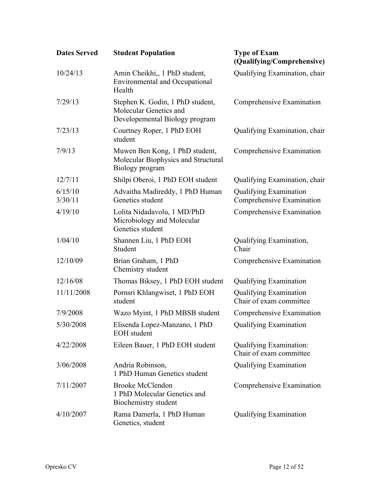| <b>Dates Served</b> | <b>Student Population</b>                                                                    | <b>Type of Exam</b><br>(Qualifying/Comprehensive)          |
|---------------------|----------------------------------------------------------------------------------------------|------------------------------------------------------------|
| 10/24/13            | Amin Cheikhi,, 1 PhD student,<br><b>Environmental and Occupational</b><br>Health             | Qualifying Examination, chair                              |
| 7/29/13             | Stephen K. Godin, 1 PhD student,<br>Molecular Genetics and<br>Developemental Biology program | Comprehensive Examination                                  |
| 7/23/13             | Courtney Roper, 1 PhD EOH<br>student                                                         | Qualifying Examination, chair                              |
| 7/9/13              | Muwen Ben Kong, 1 PhD student,<br>Molecular Biophysics and Structural<br>Biology program     | Comprehensive Examination                                  |
| 12/7/11             | Shilpi Oberoi, 1 PhD EOH student                                                             | Qualifying Examination, chair                              |
| 6/15/10<br>3/30/11  | Advaitha Madireddy, 1 PhD Human<br>Genetics student                                          | <b>Qualifying Examination</b><br>Comprehensive Examination |
| 4/19/10             | Lolita Nidadavolu, 1 MD/PhD<br>Microbiology and Molecular<br>Genetics student                | Comprehensive Examination                                  |
| 1/04/10             | Shannen Liu, 1 PhD EOH<br>Student                                                            | Qualifying Examination,<br>Chair                           |
| 12/10/09            | Brian Graham, 1 PhD<br>Chemistry student                                                     | Comprehensive Examination                                  |
| 12/16/08            | Thomas Biksey, 1 PhD EOH student                                                             | <b>Qualifying Examination</b>                              |
| 11/11/2008          | Pornsri Khlangwiset, 1 PhD EOH<br>student                                                    | <b>Qualifying Examination</b><br>Chair of exam committee   |
| 7/9/2008            | Wazo Myint, 1 PhD MBSB student                                                               | Comprehensive Examination                                  |
| 5/30/2008           | Elisenda Lopez-Manzano, 1 PhD<br><b>EOH</b> student                                          | <b>Qualifying Examination</b>                              |
| 4/22/2008           | Eileen Bauer, 1 PhD EOH student                                                              | <b>Qualifying Examination:</b><br>Chair of exam committee  |
| 3/06/2008           | Andria Robinson,<br>1 PhD Human Genetics student                                             | Qualifying Examination                                     |
| 7/11/2007           | <b>Brooke McClendon</b><br>1 PhD Molecular Genetics and<br>Biochemistry student              | Comprehensive Examination                                  |
| 4/10/2007           | Rama Damerla, 1 PhD Human<br>Genetics, student                                               | <b>Qualifying Examination</b>                              |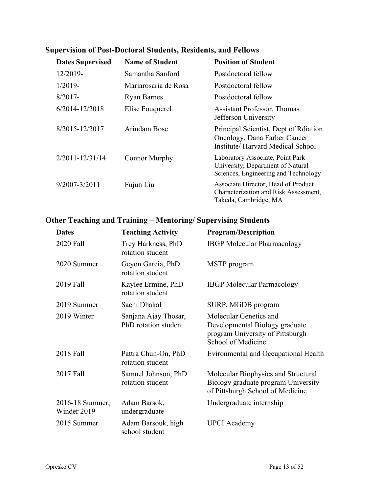| <b>Dates Supervised</b> | <b>Name of Student</b> | <b>Position of Student</b>                                                                                    |
|-------------------------|------------------------|---------------------------------------------------------------------------------------------------------------|
| 12/2019-                | Samantha Sanford       | Postdoctoral fellow                                                                                           |
| $1/2019-$               | Mariarosaria de Rosa   | Postdoctoral fellow                                                                                           |
| $8/2017 -$              | <b>Ryan Barnes</b>     | Postdoctoral fellow                                                                                           |
| 6/2014-12/2018          | Elise Fouquerel        | <b>Assistant Professor, Thomas</b><br>Jefferson University                                                    |
| 8/2015-12/2017          | Arindam Bose           | Principal Scientist, Dept of Rdiation<br>Oncology, Dana Farber Cancer<br>Institute/ Harvard Medical School    |
| $2/2011 - 12/31/14$     | <b>Connor Murphy</b>   | Laboratory Associate, Point Park<br>University, Department of Natural<br>Sciences, Engineering and Technology |
| $9/2007 - 3/2011$       | Fujun Liu              | Associate Director, Head of Product<br>Characterization and Risk Assessment,<br>Takeda, Cambridge, MA         |

## **Supervision of Post-Doctoral Students, Residents, and Fellows**

### **Other Teaching and Training – Mentoring/ Supervising Students**

| <b>Dates</b>                   | <b>Teaching Activity</b>                     | <b>Program/Description</b>                                                                                         |
|--------------------------------|----------------------------------------------|--------------------------------------------------------------------------------------------------------------------|
| 2020 Fall                      | Trey Harkness, PhD<br>rotation student       | <b>IBGP</b> Molecular Pharmacology                                                                                 |
| 2020 Summer                    | Geyon Garcia, PhD<br>rotation student        | MSTP program                                                                                                       |
| 2019 Fall                      | Kaylee Ermine, PhD<br>rotation student       | <b>IBGP Molecular Parmacology</b>                                                                                  |
| 2019 Summer                    | Sachi Dhakal                                 | SURP, MGDB program                                                                                                 |
| 2019 Winter                    | Sanjana Ajay Thosar,<br>PhD rotation student | Molecular Genetics and<br>Developmental Biology graduate<br>program University of Pittsburgh<br>School of Medicine |
| 2018 Fall                      | Pattra Chun-On, PhD<br>rotation student      | Evironmental and Occupational Health                                                                               |
| 2017 Fall                      | Samuel Johnson, PhD<br>rotation student      | Molecular Biophysics and Structural<br>Biology graduate program University<br>of Pittsburgh School of Medicine     |
| 2016-18 Summer,<br>Winder 2019 | Adam Barsok,<br>undergraduate                | Undergraduate internship                                                                                           |
| 2015 Summer                    | Adam Barsouk, high<br>school student         | <b>UPCI</b> Academy                                                                                                |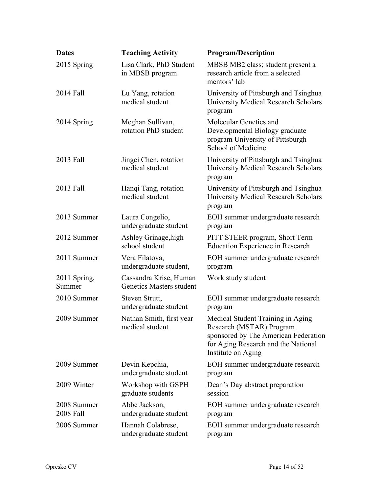| <b>Dates</b>             | <b>Teaching Activity</b>                           | <b>Program/Description</b>                                                                                                                                         |
|--------------------------|----------------------------------------------------|--------------------------------------------------------------------------------------------------------------------------------------------------------------------|
| 2015 Spring              | Lisa Clark, PhD Student<br>in MBSB program         | MBSB MB2 class; student present a<br>research article from a selected<br>mentors' lab                                                                              |
| 2014 Fall                | Lu Yang, rotation<br>medical student               | University of Pittsburgh and Tsinghua<br><b>University Medical Research Scholars</b><br>program                                                                    |
| 2014 Spring              | Meghan Sullivan,<br>rotation PhD student           | Molecular Genetics and<br>Developmental Biology graduate<br>program University of Pittsburgh<br>School of Medicine                                                 |
| 2013 Fall                | Jingei Chen, rotation<br>medical student           | University of Pittsburgh and Tsinghua<br><b>University Medical Research Scholars</b><br>program                                                                    |
| 2013 Fall                | Hanqi Tang, rotation<br>medical student            | University of Pittsburgh and Tsinghua<br><b>University Medical Research Scholars</b><br>program                                                                    |
| 2013 Summer              | Laura Congelio,<br>undergraduate student           | EOH summer undergraduate research<br>program                                                                                                                       |
| 2012 Summer              | Ashley Grinage, high<br>school student             | PITT STEER program, Short Term<br><b>Education Experience in Research</b>                                                                                          |
| 2011 Summer              | Vera Filatova,<br>undergraduate student,           | EOH summer undergraduate research<br>program                                                                                                                       |
| 2011 Spring,<br>Summer   | Cassandra Krise, Human<br>Genetics Masters student | Work study student                                                                                                                                                 |
| 2010 Summer              | Steven Strutt,<br>undergraduate student            | EOH summer undergraduate research<br>program                                                                                                                       |
| 2009 Summer              | Nathan Smith, first year<br>medical student        | Medical Student Training in Aging<br>Research (MSTAR) Program<br>sponsored by The American Federation<br>for Aging Research and the National<br>Institute on Aging |
| 2009 Summer              | Devin Kepchia,<br>undergraduate student            | EOH summer undergraduate research<br>program                                                                                                                       |
| 2009 Winter              | Workshop with GSPH<br>graduate students            | Dean's Day abstract preparation<br>session                                                                                                                         |
| 2008 Summer<br>2008 Fall | Abbe Jackson,<br>undergraduate student             | EOH summer undergraduate research<br>program                                                                                                                       |
| 2006 Summer              | Hannah Colabrese,<br>undergraduate student         | EOH summer undergraduate research<br>program                                                                                                                       |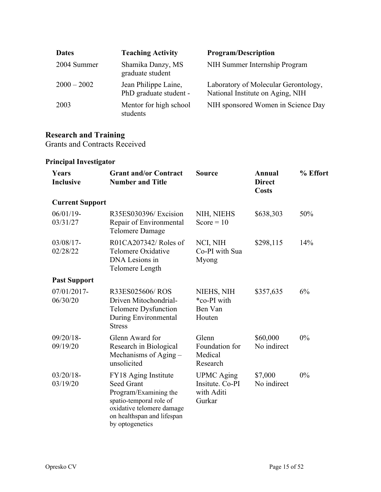| <b>Dates</b>  | <b>Teaching Activity</b>                       | <b>Program/Description</b>                                               |
|---------------|------------------------------------------------|--------------------------------------------------------------------------|
| 2004 Summer   | Shamika Danzy, MS<br>graduate student          | NIH Summer Internship Program                                            |
| $2000 - 2002$ | Jean Philippe Laine,<br>PhD graduate student - | Laboratory of Molecular Gerontology,<br>National Institute on Aging, NIH |
| 2003          | Mentor for high school<br>students             | NIH sponsored Women in Science Day                                       |

#### **Research and Training**

Grants and Contracts Received

### **Principal Investigator**

| Years<br><b>Inclusive</b> | <b>Grant and/or Contract</b><br><b>Number and Title</b>                                                                                                                     | <b>Source</b>                                                | Annual<br><b>Direct</b><br><b>Costs</b> | % Effort |
|---------------------------|-----------------------------------------------------------------------------------------------------------------------------------------------------------------------------|--------------------------------------------------------------|-----------------------------------------|----------|
| <b>Current Support</b>    |                                                                                                                                                                             |                                                              |                                         |          |
| $06/01/19$ -<br>03/31/27  | R35ES030396/Excision<br>Repair of Environmental<br>Telomere Damage                                                                                                          | NIH, NIEHS<br>Score = $10$                                   | \$638,303                               | 50%      |
| $03/08/17$ -<br>02/28/22  | R01CA207342/ Roles of<br>Telomere Oxidative<br>DNA Lesions in<br>Telomere Length                                                                                            | NCI, NIH<br>Co-PI with Sua<br>Myong                          | \$298,115                               | 14%      |
| <b>Past Support</b>       |                                                                                                                                                                             |                                                              |                                         |          |
| 07/01/2017-<br>06/30/20   | R33ES025606/ROS<br>Driven Mitochondrial-<br>Telomere Dysfunction<br>During Environmental<br><b>Stress</b>                                                                   | NIEHS, NIH<br>*co-PI with<br>Ben Van<br>Houten               | \$357,635                               | 6%       |
| $09/20/18 -$<br>09/19/20  | Glenn Award for<br>Research in Biological<br>Mechanisms of Aging -<br>unsolicited                                                                                           | Glenn<br>Foundation for<br>Medical<br>Research               | \$60,000<br>No indirect                 | 0%       |
| $03/20/18$ -<br>03/19/20  | FY18 Aging Institute<br><b>Seed Grant</b><br>Program/Examining the<br>spatio-temporal role of<br>oxidative telomere damage<br>on healthspan and lifespan<br>by optogenetics | <b>UPMC</b> Aging<br>Insitute. Co-PI<br>with Aditi<br>Gurkar | \$7,000<br>No indirect                  | 0%       |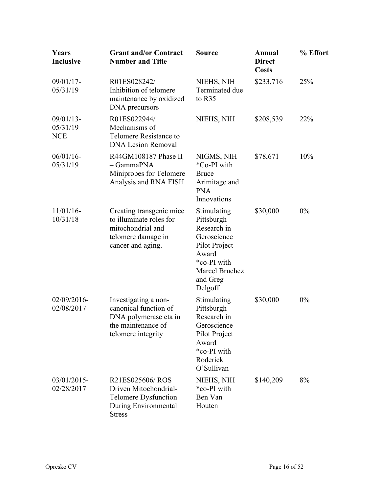| Years<br>Inclusive                     | <b>Grant and/or Contract</b><br><b>Number and Title</b>                                                             | Source                                                                                                                                    | Annual<br><b>Direct</b><br><b>Costs</b> | % Effort |
|----------------------------------------|---------------------------------------------------------------------------------------------------------------------|-------------------------------------------------------------------------------------------------------------------------------------------|-----------------------------------------|----------|
| 09/01/17-<br>05/31/19                  | R01ES028242/<br>Inhibition of telomere<br>maintenance by oxidized<br>DNA precursors                                 | NIEHS, NIH<br>Terminated due<br>to R35                                                                                                    | \$233,716                               | 25%      |
| $09/01/13$ -<br>05/31/19<br><b>NCE</b> | R01ES022944/<br>Mechanisms of<br>Telomere Resistance to<br><b>DNA Lesion Removal</b>                                | NIEHS, NIH                                                                                                                                | \$208,539                               | 22%      |
| $06/01/16$ -<br>05/31/19               | R44GM108187 Phase II<br>- GammaPNA<br>Miniprobes for Telomere<br>Analysis and RNA FISH                              | NIGMS, NIH<br>*Co-PI with<br><b>Bruce</b><br>Arimitage and<br><b>PNA</b><br>Innovations                                                   | \$78,671                                | 10%      |
| $11/01/16$ -<br>10/31/18               | Creating transgenic mice<br>to illuminate roles for<br>mitochondrial and<br>telomere damage in<br>cancer and aging. | Stimulating<br>Pittsburgh<br>Research in<br>Geroscience<br>Pilot Project<br>Award<br>*co-PI with<br>Marcel Bruchez<br>and Greg<br>Delgoff | \$30,000                                | 0%       |
| 02/09/2016-<br>02/08/2017              | Investigating a non-<br>canonical function of<br>DNA polymerase eta in<br>the maintenance of<br>telomere integrity  | Stimulating<br>Pittsburgh<br>Research in<br>Geroscience<br>Pilot Project<br>Award<br>*co-PI with<br>Roderick<br>O'Sullivan                | \$30,000                                | 0%       |
| 03/01/2015-<br>02/28/2017              | R21ES025606/ROS<br>Driven Mitochondrial-<br><b>Telomere Dysfunction</b><br>During Environmental<br><b>Stress</b>    | NIEHS, NIH<br>*co-PI with<br>Ben Van<br>Houten                                                                                            | \$140,209                               | 8%       |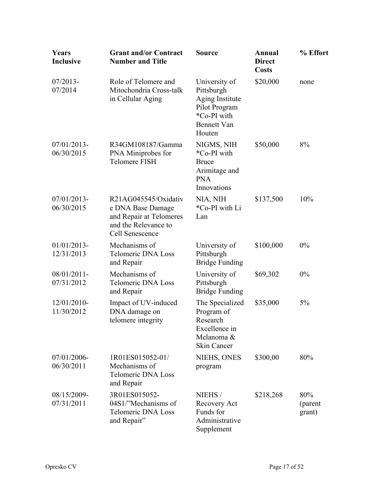| Years<br>Inclusive        | <b>Grant and/or Contract</b><br><b>Number and Title</b>                                                         | <b>Source</b>                                                                                                  | Annual<br><b>Direct</b><br><b>Costs</b> | % Effort                 |
|---------------------------|-----------------------------------------------------------------------------------------------------------------|----------------------------------------------------------------------------------------------------------------|-----------------------------------------|--------------------------|
| $07/2013-$<br>07/2014     | Role of Telomere and<br>Mitochondria Cross-talk<br>in Cellular Aging                                            | University of<br>Pittsburgh<br>Aging Institute<br>Pilot Program<br>*Co-PI with<br><b>Bennett Van</b><br>Houten | \$20,000                                | none                     |
| 07/01/2013-<br>06/30/2015 | R34GM108187/Gamma<br>PNA Miniprobes for<br><b>Telomere FISH</b>                                                 | NIGMS, NIH<br>*Co-PI with<br><b>Bruce</b><br>Arimitage and<br><b>PNA</b><br>Innovations                        | \$50,000                                | 8%                       |
| 07/01/2013-<br>06/30/2015 | R21AG045545/Oxidativ<br>e DNA Base Damage<br>and Repair at Telomeres<br>and the Relevance to<br>Cell Senescence | NIA, NIH<br>*Co-PI with Li<br>Lan                                                                              | \$137,500                               | 10%                      |
| 01/01/2013-<br>12/31/2013 | Mechanisms of<br><b>Telomeric DNA Loss</b><br>and Repair                                                        | University of<br>Pittsburgh<br><b>Bridge Funding</b>                                                           | \$100,000                               | $0\%$                    |
| 08/01/2011-<br>07/31/2012 | Mechanisms of<br><b>Telomeric DNA Loss</b><br>and Repair                                                        | University of<br>Pittsburgh<br><b>Bridge Funding</b>                                                           | \$69,302                                | $0\%$                    |
| 12/01/2010-<br>11/30/2012 | Impact of UV-induced<br>DNA damage on<br>telomere integrity                                                     | The Specialized<br>Program of<br>Research<br>Excellence in<br>Melanoma &<br><b>Skin Cancer</b>                 | \$35,000                                | 5%                       |
| 07/01/2006-<br>06/30/2011 | 1R01ES015052-01/<br>Mechanisms of<br><b>Telomeric DNA Loss</b><br>and Repair                                    | NIEHS, ONES<br>program                                                                                         | \$300,00                                | 80%                      |
| 08/15/2009-<br>07/31/2011 | 3R01ES015052-<br>04S1/"Mechanisms of<br><b>Telomeric DNA Loss</b><br>and Repair"                                | NIEHS/<br>Recovery Act<br>Funds for<br>Administrative<br>Supplement                                            | \$218,268                               | 80%<br>(parent<br>grant) |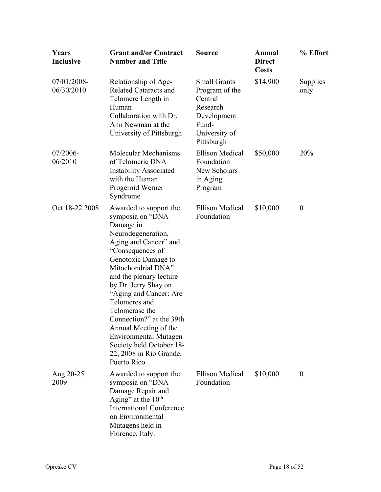| Years<br><b>Inclusive</b> | <b>Grant and/or Contract</b><br><b>Number and Title</b>                                                                                                                                                                                                                                                                                                                                                                                             | <b>Source</b>                                                                                                       | Annual<br><b>Direct</b><br><b>Costs</b> | % Effort         |
|---------------------------|-----------------------------------------------------------------------------------------------------------------------------------------------------------------------------------------------------------------------------------------------------------------------------------------------------------------------------------------------------------------------------------------------------------------------------------------------------|---------------------------------------------------------------------------------------------------------------------|-----------------------------------------|------------------|
| 07/01/2008-<br>06/30/2010 | Relationship of Age-<br><b>Related Cataracts and</b><br>Telomere Length in<br>Human<br>Collaboration with Dr.<br>Ann Newman at the<br>University of Pittsburgh                                                                                                                                                                                                                                                                                      | <b>Small Grants</b><br>Program of the<br>Central<br>Research<br>Development<br>Fund-<br>University of<br>Pittsburgh | \$14,900                                | Supplies<br>only |
| $07/2006 -$<br>06/2010    | Molecular Mechanisms<br>of Telomeric DNA<br><b>Instability Associated</b><br>with the Human<br>Progeroid Werner<br>Syndrome                                                                                                                                                                                                                                                                                                                         | <b>Ellison Medical</b><br>Foundation<br>New Scholars<br>in Aging<br>Program                                         | \$50,000                                | 20%              |
| Oct 18-22 2008            | Awarded to support the<br>symposia on "DNA<br>Damage in<br>Neurodegeneration,<br>Aging and Cancer" and<br>"Consequences of<br>Genotoxic Damage to<br>Mitochondrial DNA"<br>and the plenary lecture<br>by Dr. Jerry Shay on<br>"Aging and Cancer: Are<br>Telomeres and<br>Telomerase the<br>Connection?" at the 39th<br>Annual Meeting of the<br><b>Environmental Mutagen</b><br>Society held October 18-<br>22, 2008 in Rio Grande,<br>Puerto Rico. | <b>Ellison Medical</b><br>Foundation                                                                                | \$10,000                                | $\boldsymbol{0}$ |
| Aug 20-25<br>2009         | Awarded to support the<br>symposia on "DNA<br>Damage Repair and<br>Aging" at the $10th$<br><b>International Conference</b><br>on Environmental<br>Mutagens held in<br>Florence, Italy.                                                                                                                                                                                                                                                              | <b>Ellison Medical</b><br>Foundation                                                                                | \$10,000                                | $\boldsymbol{0}$ |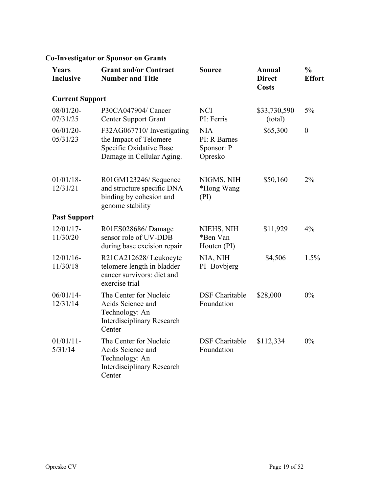### **Co-Investigator or Sponsor on Grants**

| Years<br><b>Inclusive</b> | <b>Grant and/or Contract</b><br><b>Number and Title</b>                                                      | <b>Source</b>                                       | <b>Annual</b><br><b>Direct</b><br><b>Costs</b> | $\frac{0}{0}$<br><b>Effort</b> |
|---------------------------|--------------------------------------------------------------------------------------------------------------|-----------------------------------------------------|------------------------------------------------|--------------------------------|
| <b>Current Support</b>    |                                                                                                              |                                                     |                                                |                                |
| 08/01/20-<br>07/31/25     | P30CA047904/ Cancer<br><b>Center Support Grant</b>                                                           | <b>NCI</b><br>PI: Ferris                            | \$33,730,590<br>(total)                        | $5\%$                          |
| $06/01/20 -$<br>05/31/23  | F32AG067710/ Investigating<br>the Impact of Telomere<br>Specific Oxidative Base<br>Damage in Cellular Aging. | <b>NIA</b><br>PI: R Barnes<br>Sponsor: P<br>Opresko | \$65,300                                       | $\boldsymbol{0}$               |
| $01/01/18$ -<br>12/31/21  | R01GM123246/Sequence<br>and structure specific DNA<br>binding by cohesion and<br>genome stability            | NIGMS, NIH<br>*Hong Wang<br>(PI)                    | \$50,160                                       | 2%                             |
| <b>Past Support</b>       |                                                                                                              |                                                     |                                                |                                |
| $12/01/17$ -<br>11/30/20  | R01ES028686/Damage<br>sensor role of UV-DDB<br>during base excision repair                                   | NIEHS, NIH<br>*Ben Van<br>Houten (PI)               | \$11,929                                       | 4%                             |
| $12/01/16$ -<br>11/30/18  | R21CA212628/Leukocyte<br>telomere length in bladder<br>cancer survivors: diet and<br>exercise trial          | NIA, NIH<br>PI-Bovbjerg                             | \$4,506                                        | 1.5%                           |
| $06/01/14$ -<br>12/31/14  | The Center for Nucleic<br>Acids Science and<br>Technology: An<br><b>Interdisciplinary Research</b><br>Center | <b>DSF</b> Charitable<br>Foundation                 | \$28,000                                       | 0%                             |
| $01/01/11$ -<br>5/31/14   | The Center for Nucleic<br>Acids Science and<br>Technology: An<br><b>Interdisciplinary Research</b><br>Center | <b>DSF</b> Charitable<br>Foundation                 | \$112,334                                      | 0%                             |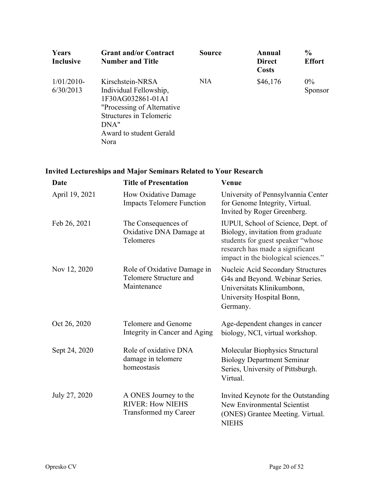| Years<br><b>Inclusive</b>  | <b>Grant and/or Contract</b><br><b>Number and Title</b>                                                                                                              | <b>Source</b> | Annual<br><b>Direct</b><br><b>Costs</b> | $\frac{0}{0}$<br><b>Effort</b> |
|----------------------------|----------------------------------------------------------------------------------------------------------------------------------------------------------------------|---------------|-----------------------------------------|--------------------------------|
| $1/01/2010$ -<br>6/30/2013 | Kirschstein-NRSA<br>Individual Fellowship,<br>1F30AG032861-01A1<br>"Processing of Alternative"<br>Structures in Telomeric<br>DNA"<br>Award to student Gerald<br>Nora | <b>NIA</b>    | \$46,176                                | $0\%$<br>Sponsor               |

## **Invited Lectureships and Major Seminars Related to Your Research**

| <b>Date</b>    | <b>Title of Presentation</b>                                                     | Venue                                                                                                                                                                                  |
|----------------|----------------------------------------------------------------------------------|----------------------------------------------------------------------------------------------------------------------------------------------------------------------------------------|
| April 19, 2021 | How Oxidative Damage<br><b>Impacts Telomere Function</b>                         | University of Pennsylvannia Center<br>for Genome Integrity, Virtual.<br>Invited by Roger Greenberg.                                                                                    |
| Feb 26, 2021   | The Consequences of<br>Oxidative DNA Damage at<br>Telomeres                      | IUPUI, School of Science, Dept. of<br>Biology, invitation from graduate<br>students for guest speaker "whose<br>research has made a significant<br>impact in the biological sciences." |
| Nov 12, 2020   | Role of Oxidative Damage in<br>Telomere Structure and<br>Maintenance             | <b>Nucleic Acid Secondary Structures</b><br>G4s and Beyond. Webinar Series.<br>Universitats Klinikumbonn,<br>University Hospital Bonn,<br>Germany.                                     |
| Oct 26, 2020   | Telomere and Genome<br>Integrity in Cancer and Aging                             | Age-dependent changes in cancer<br>biology, NCI, virtual workshop.                                                                                                                     |
| Sept 24, 2020  | Role of oxidative DNA<br>damage in telomere<br>homeostasis                       | Molecular Biophysics Structural<br><b>Biology Department Seminar</b><br>Series, University of Pittsburgh.<br>Virtual.                                                                  |
| July 27, 2020  | A ONES Journey to the<br><b>RIVER: How NIEHS</b><br><b>Transformed my Career</b> | Invited Keynote for the Outstanding<br>New Environmental Scientist<br>(ONES) Grantee Meeting. Virtual.<br><b>NIEHS</b>                                                                 |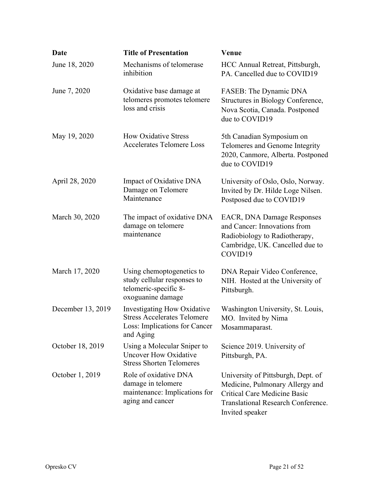| <b>Date</b>       | <b>Title of Presentation</b>                                                                                    | Venue                                                                                                                                                                 |
|-------------------|-----------------------------------------------------------------------------------------------------------------|-----------------------------------------------------------------------------------------------------------------------------------------------------------------------|
| June 18, 2020     | Mechanisms of telomerase<br>inhibition                                                                          | HCC Annual Retreat, Pittsburgh,<br>PA. Cancelled due to COVID19                                                                                                       |
| June 7, 2020      | Oxidative base damage at<br>telomeres promotes telomere<br>loss and crisis                                      | FASEB: The Dynamic DNA<br>Structures in Biology Conference,<br>Nova Scotia, Canada. Postponed<br>due to COVID19                                                       |
| May 19, 2020      | <b>How Oxidative Stress</b><br><b>Accelerates Telomere Loss</b>                                                 | 5th Canadian Symposium on<br>Telomeres and Genome Integrity<br>2020, Canmore, Alberta. Postponed<br>due to COVID19                                                    |
| April 28, 2020    | Impact of Oxidative DNA<br>Damage on Telomere<br>Maintenance                                                    | University of Oslo, Oslo, Norway.<br>Invited by Dr. Hilde Loge Nilsen.<br>Postposed due to COVID19                                                                    |
| March 30, 2020    | The impact of oxidative DNA<br>damage on telomere<br>maintenance                                                | <b>EACR, DNA Damage Responses</b><br>and Cancer: Innovations from<br>Radiobiology to Radiotherapy,<br>Cambridge, UK. Cancelled due to<br>COVID19                      |
| March 17, 2020    | Using chemoptogenetics to<br>study cellular responses to<br>telomeric-specific 8-<br>oxoguanine damage          | DNA Repair Video Conference,<br>NIH. Hosted at the University of<br>Pittsburgh.                                                                                       |
| December 13, 2019 | Investigating How Oxidative<br><b>Stress Accelerates Telomere</b><br>Loss: Implications for Cancer<br>and Aging | Washington University, St. Louis,<br>MO. Invited by Nima<br>Mosammaparast.                                                                                            |
| October 18, 2019  | Using a Molecular Sniper to<br><b>Uncover How Oxidative</b><br><b>Stress Shorten Telomeres</b>                  | Science 2019. University of<br>Pittsburgh, PA.                                                                                                                        |
| October 1, 2019   | Role of oxidative DNA<br>damage in telomere<br>maintenance: Implications for<br>aging and cancer                | University of Pittsburgh, Dept. of<br>Medicine, Pulmonary Allergy and<br>Critical Care Medicine Basic<br><b>Translational Research Conference.</b><br>Invited speaker |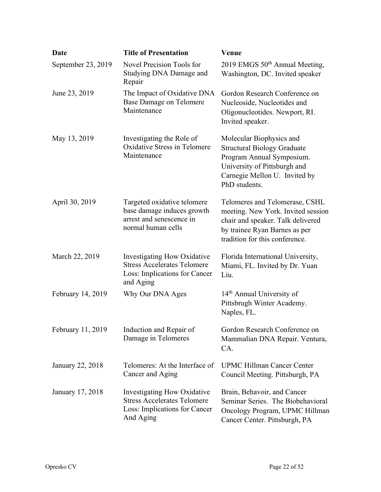| <b>Date</b>        | <b>Title of Presentation</b>                                                                                    | Venue                                                                                                                                                                         |
|--------------------|-----------------------------------------------------------------------------------------------------------------|-------------------------------------------------------------------------------------------------------------------------------------------------------------------------------|
| September 23, 2019 | Novel Precision Tools for<br>Studying DNA Damage and<br>Repair                                                  | 2019 EMGS 50 <sup>th</sup> Annual Meeting,<br>Washington, DC. Invited speaker                                                                                                 |
| June 23, 2019      | The Impact of Oxidative DNA<br><b>Base Damage on Telomere</b><br>Maintenance                                    | Gordon Research Conference on<br>Nucleoside, Nucleotides and<br>Oligonucleotides. Newport, RI.<br>Invited speaker.                                                            |
| May 13, 2019       | Investigating the Role of<br><b>Oxidative Stress in Telomere</b><br>Maintenance                                 | Molecular Biophysics and<br><b>Structural Biology Graduate</b><br>Program Annual Symposium.<br>University of Pittsburgh and<br>Carnegie Mellon U. Invited by<br>PhD students. |
| April 30, 2019     | Targeted oxidative telomere<br>base damage induces growth<br>arrest and senescence in<br>normal human cells     | Telomeres and Telomerase, CSHL<br>meeting. New York. Invited session<br>chair and speaker. Talk delivered<br>by trainee Ryan Barnes as per<br>tradition for this conference.  |
| March 22, 2019     | Investigating How Oxidative<br><b>Stress Accelerates Telomere</b><br>Loss: Implications for Cancer<br>and Aging | Florida International University,<br>Miami, FL. Invited by Dr. Yuan<br>Liu.                                                                                                   |
| February 14, 2019  | Why Our DNA Ages                                                                                                | 14 <sup>th</sup> Annual University of<br>Pittsbrugh Winter Academy.<br>Naples, FL.                                                                                            |
| February 11, 2019  | Induction and Repair of<br>Damage in Telomeres                                                                  | Gordon Research Conference on<br>Mammalian DNA Repair. Ventura,<br>CA.                                                                                                        |
| January 22, 2018   | Telomeres: At the Interface of<br>Cancer and Aging                                                              | <b>UPMC Hillman Cancer Center</b><br>Council Meeting. Pittsburgh, PA                                                                                                          |
| January 17, 2018   | Investigating How Oxidative<br><b>Stress Accelerates Telomere</b><br>Loss: Implications for Cancer<br>And Aging | Brain, Behavoir, and Cancer<br>Seminar Series. The Biobehavioral<br>Oncology Program, UPMC Hillman<br>Cancer Center. Pittsburgh, PA                                           |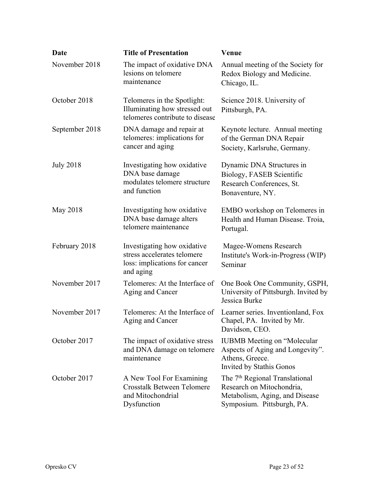| <b>Date</b>      | <b>Title of Presentation</b>                                                                             | <b>Venue</b>                                                                                                                            |
|------------------|----------------------------------------------------------------------------------------------------------|-----------------------------------------------------------------------------------------------------------------------------------------|
| November 2018    | The impact of oxidative DNA<br>lesions on telomere<br>maintenance                                        | Annual meeting of the Society for<br>Redox Biology and Medicine.<br>Chicago, IL.                                                        |
| October 2018     | Telomeres in the Spotlight:<br>Illuminating how stressed out<br>telomeres contribute to disease          | Science 2018. University of<br>Pittsburgh, PA.                                                                                          |
| September 2018   | DNA damage and repair at<br>telomeres: implications for<br>cancer and aging                              | Keynote lecture. Annual meeting<br>of the German DNA Repair<br>Society, Karlsruhe, Germany.                                             |
| <b>July 2018</b> | Investigating how oxidative<br>DNA base damage<br>modulates telomere structure<br>and function           | Dynamic DNA Structures in<br>Biology, FASEB Scientific<br>Research Conferences, St.<br>Bonaventure, NY.                                 |
| May 2018         | Investigating how oxidative<br>DNA base damage alters<br>telomere maintenance                            | EMBO workshop on Telomeres in<br>Health and Human Disease. Troia,<br>Portugal.                                                          |
| February 2018    | Investigating how oxidative<br>stress accelerates telomere<br>loss: implications for cancer<br>and aging | Magee-Womens Research<br>Institute's Work-in-Progress (WIP)<br>Seminar                                                                  |
| November 2017    | Telomeres: At the Interface of<br>Aging and Cancer                                                       | One Book One Community, GSPH,<br>University of Pittsburgh. Invited by<br>Jessica Burke                                                  |
| November 2017    | Telomeres: At the Interface of<br>Aging and Cancer                                                       | Learner series. Inventionland, Fox<br>Chapel, PA. Invited by Mr.<br>Davidson, CEO.                                                      |
| October 2017     | The impact of oxidative stress<br>and DNA damage on telomere<br>maintenance                              | <b>IUBMB</b> Meeting on "Molecular"<br>Aspects of Aging and Longevity".<br>Athens, Greece.<br><b>Invited by Stathis Gonos</b>           |
| October 2017     | A New Tool For Examining<br><b>Crosstalk Between Telomere</b><br>and Mitochondrial<br>Dysfunction        | The 7 <sup>th</sup> Regional Translational<br>Research on Mitochondria,<br>Metabolism, Aging, and Disease<br>Symposium. Pittsburgh, PA. |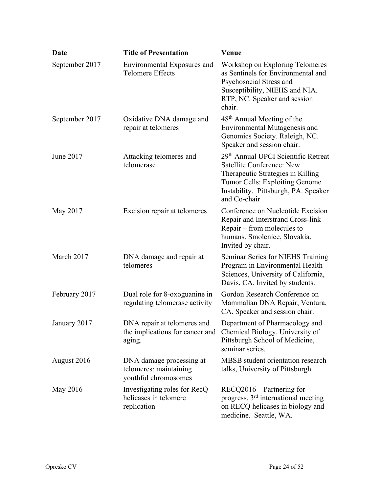| <b>Date</b>    | <b>Title of Presentation</b>                                               | Venue                                                                                                                                                                                                  |
|----------------|----------------------------------------------------------------------------|--------------------------------------------------------------------------------------------------------------------------------------------------------------------------------------------------------|
| September 2017 | Environmental Exposures and<br><b>Telomere Effects</b>                     | Workshop on Exploring Telomeres<br>as Sentinels for Environmental and<br>Psychosocial Stress and<br>Susceptibility, NIEHS and NIA.<br>RTP, NC. Speaker and session<br>chair.                           |
| September 2017 | Oxidative DNA damage and<br>repair at telomeres                            | 48 <sup>th</sup> Annual Meeting of the<br>Environmental Mutagenesis and<br>Genomics Society. Raleigh, NC.<br>Speaker and session chair.                                                                |
| June 2017      | Attacking telomeres and<br>telomerase                                      | 29th Annual UPCI Scientific Retreat<br><b>Satellite Conference: New</b><br>Therapeutic Strategies in Killing<br>Tumor Cells: Exploiting Genome<br>Instability. Pittsburgh, PA. Speaker<br>and Co-chair |
| May 2017       | Excision repair at telomeres                                               | Conference on Nucleotide Excision<br>Repair and Interstrand Cross-link<br>Repair – from molecules to<br>humans. Smolenice, Slovakia.<br>Invited by chair.                                              |
| March 2017     | DNA damage and repair at<br>telomeres                                      | Seminar Series for NIEHS Training<br>Program in Environmental Health<br>Sciences, University of California,<br>Davis, CA. Invited by students.                                                         |
| February 2017  | Dual role for 8-oxoguanine in<br>regulating telomerase activity            | Gordon Research Conference on<br>Mammalian DNA Repair, Ventura,<br>CA. Speaker and session chair.                                                                                                      |
| January 2017   | DNA repair at telomeres and<br>the implications for cancer and<br>aging.   | Department of Pharmacology and<br>Chemical Biology. University of<br>Pittsburgh School of Medicine,<br>seminar series.                                                                                 |
| August 2016    | DNA damage processing at<br>telomeres: maintaining<br>youthful chromosomes | MBSB student orientation research<br>talks, University of Pittsburgh                                                                                                                                   |
| May 2016       | Investigating roles for RecQ<br>helicases in telomere<br>replication       | RECQ2016 – Partnering for<br>progress. $3rd$ international meeting<br>on RECQ helicases in biology and<br>medicine. Seattle, WA.                                                                       |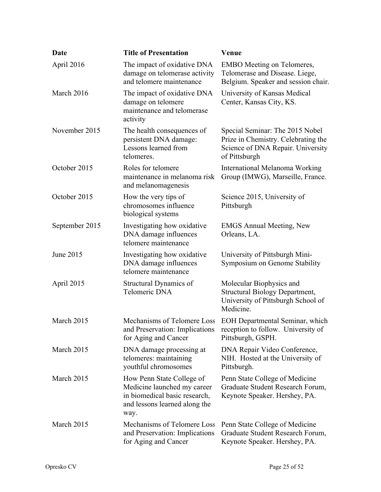| Date           | <b>Title of Presentation</b>                                                                                                       | Venue                                                                                                                        |
|----------------|------------------------------------------------------------------------------------------------------------------------------------|------------------------------------------------------------------------------------------------------------------------------|
| April 2016     | The impact of oxidative DNA<br>damage on telomerase activity<br>and telomere maintenance                                           | <b>EMBO</b> Meeting on Telomeres,<br>Telomerase and Disease. Liege,<br>Belgium. Speaker and session chair.                   |
| March 2016     | The impact of oxidative DNA<br>damage on telomere<br>maintenance and telomerase<br>activity                                        | University of Kansas Medical<br>Center, Kansas City, KS.                                                                     |
| November 2015  | The health consequences of<br>persistent DNA damage:<br>Lessons learned from<br>telomeres.                                         | Special Seminar: The 2015 Nobel<br>Prize in Chemistry. Celebrating the<br>Science of DNA Repair. University<br>of Pittsburgh |
| October 2015   | Roles for telomere<br>maintenance in melanoma risk<br>and melanomagenesis                                                          | International Melanoma Working<br>Group (IMWG), Marseille, France.                                                           |
| October 2015   | How the very tips of<br>chromosomes influence<br>biological systems                                                                | Science 2015, University of<br>Pittsburgh                                                                                    |
| September 2015 | Investigating how oxidative<br>DNA damage influences<br>telomere maintenance                                                       | <b>EMGS Annual Meeting, New</b><br>Orleans, LA.                                                                              |
| June 2015      | Investigating how oxidative<br>DNA damage influences<br>telomere maintenance                                                       | University of Pittsburgh Mini-<br>Symposium on Genome Stability                                                              |
| April 2015     | Structural Dynamics of<br>Telomeric DNA                                                                                            | Molecular Biophysics and<br><b>Structural Biology Department,</b><br>University of Pittsburgh School of<br>Medicine.         |
| March 2015     | Mechanisms of Telomere Loss<br>and Preservation: Implications<br>for Aging and Cancer                                              | EOH Departmental Seminar, which<br>reception to follow. University of<br>Pittsburgh, GSPH.                                   |
| March 2015     | DNA damage processing at<br>telomeres: maintaining<br>youthful chromosomes                                                         | DNA Repair Video Conference,<br>NIH. Hosted at the University of<br>Pittsburgh.                                              |
| March 2015     | How Penn State College of<br>Medicine launched my career<br>in biomedical basic research,<br>and lessons learned along the<br>way. | Penn State College of Medicine<br>Graduate Student Research Forum,<br>Keynote Speaker. Hershey, PA.                          |
| March 2015     | Mechanisms of Telomere Loss<br>and Preservation: Implications<br>for Aging and Cancer                                              | Penn State College of Medicine<br>Graduate Student Research Forum,<br>Keynote Speaker. Hershey, PA.                          |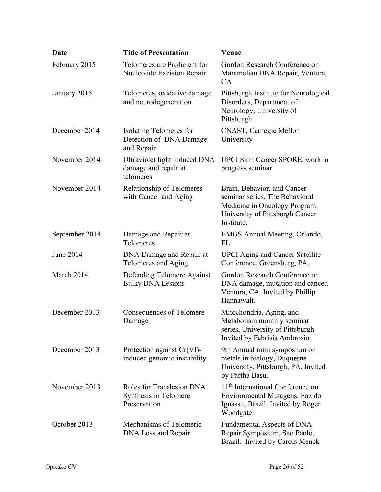| <b>Date</b>    | <b>Title of Presentation</b>                                       | Venue                                                                                                                                           |
|----------------|--------------------------------------------------------------------|-------------------------------------------------------------------------------------------------------------------------------------------------|
| February 2015  | Telomeres are Proficient for<br>Nucleotide Excision Repair         | Gordon Research Conference on<br>Mammalian DNA Repair, Ventura,<br>CA                                                                           |
| January 2015   | Telomeres, oxidative damage<br>and neurodegeneration               | Pittsburgh Institute for Neurological<br>Disorders, Department of<br>Neurology, University of<br>Pittsburgh.                                    |
| December 2014  | Isolating Telomeres for<br>Detection of DNA Damage<br>and Repair   | CNAST, Carnegie Mellon<br>University                                                                                                            |
| November 2014  | Ultraviolet light induced DNA<br>damage and repair at<br>telomeres | UPCI Skin Cancer SPORE, work in<br>progress seminar                                                                                             |
| November 2014  | Relationship of Telomeres<br>with Cancer and Aging                 | Brain, Behavior, and Cancer<br>seminar series. The Behavioral<br>Medicine in Oncology Program.<br>University of Pittsburgh Cancer<br>Institute. |
| September 2014 | Damage and Repair at<br>Telomeres                                  | EMGS Annual Meeting, Orlando,<br>FL.                                                                                                            |
| June 2014      | DNA Damage and Repair at<br>Telomeres and Aging                    | <b>UPCI</b> Aging and Cancer Satellite<br>Conference. Greensburg, PA.                                                                           |
| March 2014     | Defending Telomere Against<br><b>Bulky DNA Lesions</b>             | Gordon Research Conference on<br>DNA damage, mutation and cancer.<br>Ventura, CA. Invited by Phillip<br>Hannawalt.                              |
| December 2013  | Consequences of Telomere<br>Damage                                 | Mitochondria, Aging, and<br>Metabolism monthly seminar<br>series, University of Pittsburgh.<br>Invited by Fabrisia Ambrosio                     |
| December 2013  | Protection against Cr(VI)-<br>induced genomic instability          | 9th Annual mini symposium on<br>metals in biology, Duquesne<br>University, Pittsburgh, PA. Invited<br>by Partha Basu.                           |
| November 2013  | Roles for Translesion DNA<br>Synthesis in Telomere<br>Preservation | 11 <sup>th</sup> International Conference on<br>Environmental Mutagens. Foz do<br>Iguassu, Brazil. Invited by Roger<br>Woodgate.                |
| October 2013   | Mechanisms of Telomeric<br>DNA Loss and Repair                     | Fundamental Aspects of DNA<br>Repair Symposium, Sao Paolo,<br>Brazil. Invited by Carols Menck                                                   |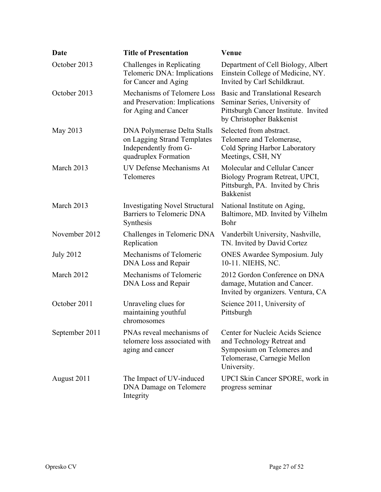| Date             | <b>Title of Presentation</b>                                                                                | <b>Venue</b>                                                                                                                                 |
|------------------|-------------------------------------------------------------------------------------------------------------|----------------------------------------------------------------------------------------------------------------------------------------------|
| October 2013     | Challenges in Replicating<br>Telomeric DNA: Implications<br>for Cancer and Aging                            | Department of Cell Biology, Albert<br>Einstein College of Medicine, NY.<br>Invited by Carl Schildkraut.                                      |
| October 2013     | Mechanisms of Telomere Loss<br>and Preservation: Implications<br>for Aging and Cancer                       | <b>Basic and Translational Research</b><br>Seminar Series, University of<br>Pittsburgh Cancer Institute. Invited<br>by Christopher Bakkenist |
| May 2013         | DNA Polymerase Delta Stalls<br>on Lagging Strand Templates<br>Independently from G-<br>quadruplex Formation | Selected from abstract.<br>Telomere and Telomerase,<br>Cold Spring Harbor Laboratory<br>Meetings, CSH, NY                                    |
| March 2013       | UV Defense Mechanisms At<br>Telomeres                                                                       | Molecular and Cellular Cancer<br>Biology Program Retreat, UPCI,<br>Pittsburgh, PA. Invited by Chris<br><b>Bakkenist</b>                      |
| March 2013       | <b>Investigating Novel Structural</b><br><b>Barriers to Telomeric DNA</b><br>Synthesis                      | National Institute on Aging,<br>Baltimore, MD. Invited by Vilhelm<br>Bohr                                                                    |
| November 2012    | Challenges in Telomeric DNA<br>Replication                                                                  | Vanderbilt University, Nashville,<br>TN. Invited by David Cortez                                                                             |
| <b>July 2012</b> | Mechanisms of Telomeric<br>DNA Loss and Repair                                                              | <b>ONES</b> Awardee Symposium. July<br>10-11. NIEHS, NC.                                                                                     |
| March 2012       | Mechanisms of Telomeric<br>DNA Loss and Repair                                                              | 2012 Gordon Conference on DNA<br>damage, Mutation and Cancer.<br>Invited by organizers. Ventura, CA                                          |
| October 2011     | Unraveling clues for<br>maintaining youthful<br>chromosomes                                                 | Science 2011, University of<br>Pittsburgh                                                                                                    |
| September 2011   | PNAs reveal mechanisms of<br>telomere loss associated with<br>aging and cancer                              | Center for Nucleic Acids Science<br>and Technology Retreat and<br>Symposium on Telomeres and<br>Telomerase, Carnegie Mellon<br>University.   |
| August 2011      | The Impact of UV-induced<br><b>DNA Damage on Telomere</b><br>Integrity                                      | UPCI Skin Cancer SPORE, work in<br>progress seminar                                                                                          |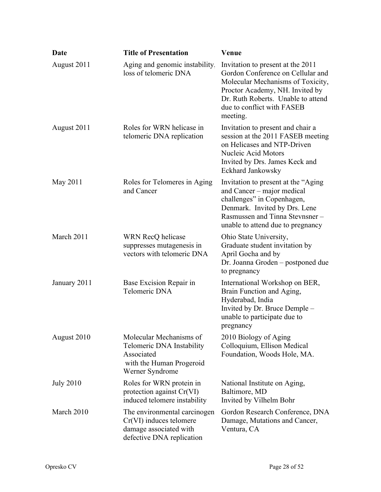| <b>Date</b>      | <b>Title of Presentation</b>                                                                                      | Venue                                                                                                                                                                                                                          |
|------------------|-------------------------------------------------------------------------------------------------------------------|--------------------------------------------------------------------------------------------------------------------------------------------------------------------------------------------------------------------------------|
| August 2011      | Aging and genomic instability.<br>loss of telomeric DNA                                                           | Invitation to present at the 2011<br>Gordon Conference on Cellular and<br>Molecular Mechanisms of Toxicity,<br>Proctor Academy, NH. Invited by<br>Dr. Ruth Roberts. Unable to attend<br>due to conflict with FASEB<br>meeting. |
| August 2011      | Roles for WRN helicase in<br>telomeric DNA replication                                                            | Invitation to present and chair a<br>session at the 2011 FASEB meeting<br>on Helicases and NTP-Driven<br>Nucleic Acid Motors<br>Invited by Drs. James Keck and<br>Eckhard Jankowsky                                            |
| May 2011         | Roles for Telomeres in Aging<br>and Cancer                                                                        | Invitation to present at the "Aging"<br>and Cancer - major medical<br>challenges" in Copenhagen,<br>Denmark. Invited by Drs. Lene<br>Rasmussen and Tinna Stevnsner -<br>unable to attend due to pregnancy                      |
| March 2011       | WRN RecQ helicase<br>suppresses mutagenesis in<br>vectors with telomeric DNA                                      | Ohio State University,<br>Graduate student invitation by<br>April Gocha and by<br>Dr. Joanna Groden - postponed due<br>to pregnancy                                                                                            |
| January 2011     | Base Excision Repair in<br>Telomeric DNA                                                                          | International Workshop on BER,<br>Brain Function and Aging,<br>Hyderabad, India<br>Invited by Dr. Bruce Demple -<br>unable to participate due to<br>pregnancy                                                                  |
| August 2010      | Molecular Mechanisms of<br>Telomeric DNA Instability<br>Associated<br>with the Human Progeroid<br>Werner Syndrome | 2010 Biology of Aging<br>Colloquium, Ellison Medical<br>Foundation, Woods Hole, MA.                                                                                                                                            |
| <b>July 2010</b> | Roles for WRN protein in<br>protection against Cr(VI)<br>induced telomere instability                             | National Institute on Aging,<br>Baltimore, MD<br>Invited by Vilhelm Bohr                                                                                                                                                       |
| March 2010       | The environmental carcinogen<br>$Cr(VI)$ induces telomere<br>damage associated with<br>defective DNA replication  | Gordon Research Conference, DNA<br>Damage, Mutations and Cancer,<br>Ventura, CA                                                                                                                                                |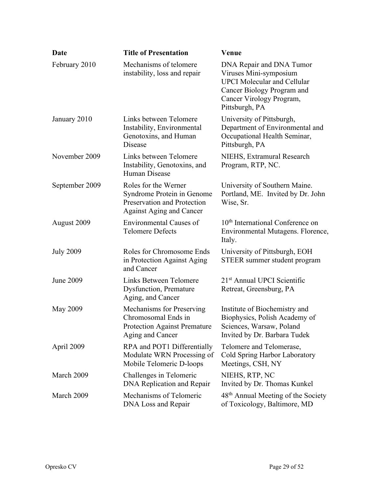| <b>Date</b>      | <b>Title of Presentation</b>                                                                                         | <b>Venue</b>                                                                                                                                                         |
|------------------|----------------------------------------------------------------------------------------------------------------------|----------------------------------------------------------------------------------------------------------------------------------------------------------------------|
| February 2010    | Mechanisms of telomere<br>instability, loss and repair                                                               | DNA Repair and DNA Tumor<br>Viruses Mini-symposium<br><b>UPCI</b> Molecular and Cellular<br>Cancer Biology Program and<br>Cancer Virology Program,<br>Pittsburgh, PA |
| January 2010     | Links between Telomere<br>Instability, Environmental<br>Genotoxins, and Human<br>Disease                             | University of Pittsburgh,<br>Department of Environmental and<br>Occupational Health Seminar,<br>Pittsburgh, PA                                                       |
| November 2009    | Links between Telomere<br>Instability, Genotoxins, and<br>Human Disease                                              | NIEHS, Extramural Research<br>Program, RTP, NC.                                                                                                                      |
| September 2009   | Roles for the Werner<br>Syndrome Protein in Genome<br>Preservation and Protection<br><b>Against Aging and Cancer</b> | University of Southern Maine.<br>Portland, ME. Invited by Dr. John<br>Wise, Sr.                                                                                      |
| August 2009      | <b>Environmental Causes of</b><br><b>Telomere Defects</b>                                                            | 10 <sup>th</sup> International Conference on<br>Environmental Mutagens. Florence,<br>Italy.                                                                          |
| <b>July 2009</b> | Roles for Chromosome Ends<br>in Protection Against Aging<br>and Cancer                                               | University of Pittsburgh, EOH<br>STEER summer student program                                                                                                        |
| June 2009        | Links Between Telomere<br><b>Dysfunction</b> , Premature<br>Aging, and Cancer                                        | 21 <sup>st</sup> Annual UPCI Scientific<br>Retreat, Greensburg, PA                                                                                                   |
| <b>May 2009</b>  | Mechanisms for Preserving<br>Chromosomal Ends in<br><b>Protection Against Premature</b><br>Aging and Cancer          | Institute of Biochemistry and<br>Biophysics, Polish Academy of<br>Sciences, Warsaw, Poland<br>Invited by Dr. Barbara Tudek                                           |
| April 2009       | RPA and POT1 Differentially<br>Modulate WRN Processing of<br>Mobile Telomeric D-loops                                | Telomere and Telomerase,<br>Cold Spring Harbor Laboratory<br>Meetings, CSH, NY                                                                                       |
| March 2009       | Challenges in Telomeric<br>DNA Replication and Repair                                                                | NIEHS, RTP, NC<br>Invited by Dr. Thomas Kunkel                                                                                                                       |
| March 2009       | Mechanisms of Telomeric<br>DNA Loss and Repair                                                                       | 48 <sup>th</sup> Annual Meeting of the Society<br>of Toxicology, Baltimore, MD                                                                                       |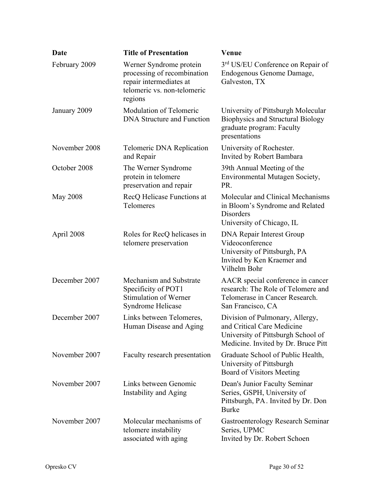| <b>Date</b>     | <b>Title of Presentation</b>                                                                                                | Venue                                                                                                                                      |
|-----------------|-----------------------------------------------------------------------------------------------------------------------------|--------------------------------------------------------------------------------------------------------------------------------------------|
| February 2009   | Werner Syndrome protein<br>processing of recombination<br>repair intermediates at<br>telomeric vs. non-telomeric<br>regions | 3rd US/EU Conference on Repair of<br>Endogenous Genome Damage,<br>Galveston, TX                                                            |
| January 2009    | Modulation of Telomeric<br><b>DNA Structure and Function</b>                                                                | University of Pittsburgh Molecular<br><b>Biophysics and Structural Biology</b><br>graduate program: Faculty<br>presentations               |
| November 2008   | Telomeric DNA Replication<br>and Repair                                                                                     | University of Rochester.<br>Invited by Robert Bambara                                                                                      |
| October 2008    | The Werner Syndrome<br>protein in telomere<br>preservation and repair                                                       | 39th Annual Meeting of the<br>Environmental Mutagen Society,<br>PR.                                                                        |
| <b>May 2008</b> | RecQ Helicase Functions at<br>Telomeres                                                                                     | Molecular and Clinical Mechanisms<br>in Bloom's Syndrome and Related<br>Disorders<br>University of Chicago, IL                             |
| April 2008      | Roles for RecQ helicases in<br>telomere preservation                                                                        | DNA Repair Interest Group<br>Videoconference<br>University of Pittsburgh, PA<br>Invited by Ken Kraemer and<br>Vilhelm Bohr                 |
| December 2007   | Mechanism and Substrate<br>Specificity of POT1<br><b>Stimulation of Werner</b><br>Syndrome Helicase                         | AACR special conference in cancer<br>research: The Role of Telomere and<br>Telomerase in Cancer Research.<br>San Francisco, CA             |
| December 2007   | Links between Telomeres,<br>Human Disease and Aging                                                                         | Division of Pulmonary, Allergy,<br>and Critical Care Medicine<br>University of Pittsburgh School of<br>Medicine. Invited by Dr. Bruce Pitt |
| November 2007   | Faculty research presentation                                                                                               | Graduate School of Public Health,<br>University of Pittsburgh<br>Board of Visitors Meeting                                                 |
| November 2007   | Links between Genomic<br>Instability and Aging                                                                              | Dean's Junior Faculty Seminar<br>Series, GSPH, University of<br>Pittsburgh, PA. Invited by Dr. Don<br><b>Burke</b>                         |
| November 2007   | Molecular mechanisms of<br>telomere instability<br>associated with aging                                                    | Gastroenterology Research Seminar<br>Series, UPMC<br>Invited by Dr. Robert Schoen                                                          |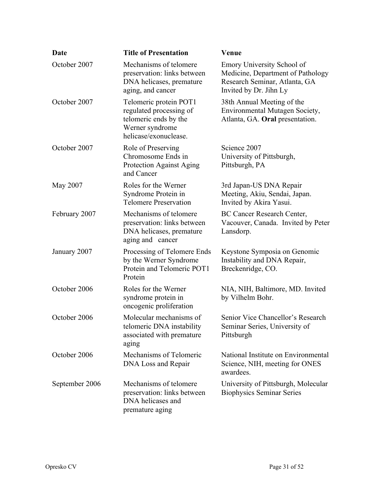| Date           | <b>Title of Presentation</b>                                                                                           | Venue                                                                                                                      |
|----------------|------------------------------------------------------------------------------------------------------------------------|----------------------------------------------------------------------------------------------------------------------------|
| October 2007   | Mechanisms of telomere<br>preservation: links between<br>DNA helicases, premature<br>aging, and cancer                 | Emory University School of<br>Medicine, Department of Pathology<br>Research Seminar, Atlanta, GA<br>Invited by Dr. Jihn Ly |
| October 2007   | Telomeric protein POT1<br>regulated processing of<br>telomeric ends by the<br>Werner syndrome<br>helicase/exonuclease. | 38th Annual Meeting of the<br>Environmental Mutagen Society,<br>Atlanta, GA. Oral presentation.                            |
| October 2007   | Role of Preserving<br>Chromosome Ends in<br>Protection Against Aging<br>and Cancer                                     | Science 2007<br>University of Pittsburgh,<br>Pittsburgh, PA                                                                |
| May 2007       | Roles for the Werner<br>Syndrome Protein in<br><b>Telomere Preservation</b>                                            | 3rd Japan-US DNA Repair<br>Meeting, Akiu, Sendai, Japan.<br>Invited by Akira Yasui.                                        |
| February 2007  | Mechanisms of telomere<br>preservation: links between<br>DNA helicases, premature<br>aging and cancer                  | BC Cancer Research Center,<br>Vacouver, Canada. Invited by Peter<br>Lansdorp.                                              |
| January 2007   | Processing of Telomere Ends<br>by the Werner Syndrome<br>Protein and Telomeric POT1<br>Protein                         | Keystone Symposia on Genomic<br>Instability and DNA Repair,<br>Breckenridge, CO.                                           |
| October 2006   | Roles for the Werner<br>syndrome protein in<br>oncogenic proliferation                                                 | NIA, NIH, Baltimore, MD. Invited<br>by Vilhelm Bohr.                                                                       |
| October 2006   | Molecular mechanisms of<br>telomeric DNA instability<br>associated with premature<br>aging                             | Senior Vice Chancellor's Research<br>Seminar Series, University of<br>Pittsburgh                                           |
| October 2006   | Mechanisms of Telomeric<br>DNA Loss and Repair                                                                         | National Institute on Environmental<br>Science, NIH, meeting for ONES<br>awardees.                                         |
| September 2006 | Mechanisms of telomere<br>preservation: links between<br>DNA helicases and<br>premature aging                          | University of Pittsburgh, Molecular<br><b>Biophysics Seminar Series</b>                                                    |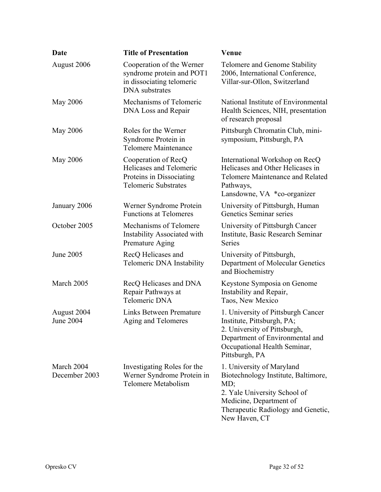| <b>Date</b>                     | <b>Title of Presentation</b>                                                                                 | Venue                                                                                                                                                                                     |
|---------------------------------|--------------------------------------------------------------------------------------------------------------|-------------------------------------------------------------------------------------------------------------------------------------------------------------------------------------------|
| August 2006                     | Cooperation of the Werner<br>syndrome protein and POT1<br>in dissociating telomeric<br><b>DNA</b> substrates | Telomere and Genome Stability<br>2006, International Conference,<br>Villar-sur-Ollon, Switzerland                                                                                         |
| <b>May 2006</b>                 | Mechanisms of Telomeric<br>DNA Loss and Repair                                                               | National Institute of Environmental<br>Health Sciences, NIH, presentation<br>of research proposal                                                                                         |
| May 2006                        | Roles for the Werner<br>Syndrome Protein in<br>Telomere Maintenance                                          | Pittsburgh Chromatin Club, mini-<br>symposium, Pittsburgh, PA                                                                                                                             |
| <b>May 2006</b>                 | Cooperation of RecQ<br>Helicases and Telomeric<br>Proteins in Dissociating<br><b>Telomeric Substrates</b>    | International Workshop on RecQ<br>Helicases and Other Helicases in<br>Telomere Maintenance and Related<br>Pathways,<br>Lansdowne, VA *co-organizer                                        |
| January 2006                    | Werner Syndrome Protein<br><b>Functions at Telomeres</b>                                                     | University of Pittsburgh, Human<br>Genetics Seminar series                                                                                                                                |
| October 2005                    | Mechanisms of Telomere<br>Instability Associated with<br>Premature Aging                                     | University of Pittsburgh Cancer<br>Institute, Basic Research Seminar<br><b>Series</b>                                                                                                     |
| <b>June 2005</b>                | RecQ Helicases and<br>Telomeric DNA Instability                                                              | University of Pittsburgh,<br>Department of Molecular Genetics<br>and Biochemistry                                                                                                         |
| March 2005                      | RecQ Helicases and DNA<br>Repair Pathways at<br>Telomeric DNA                                                | Keystone Symposia on Genome<br>Instability and Repair,<br>Taos, New Mexico                                                                                                                |
| August 2004<br><b>June 2004</b> | Links Between Premature<br>Aging and Telomeres                                                               | 1. University of Pittsburgh Cancer<br>Institute, Pittsburgh, PA;<br>2. University of Pittsburgh,<br>Department of Environmental and<br>Occupational Health Seminar,<br>Pittsburgh, PA     |
| March 2004<br>December 2003     | Investigating Roles for the<br>Werner Syndrome Protein in<br>Telomere Metabolism                             | 1. University of Maryland<br>Biotechnology Institute, Baltimore,<br>MD;<br>2. Yale University School of<br>Medicine, Department of<br>Therapeutic Radiology and Genetic,<br>New Haven, CT |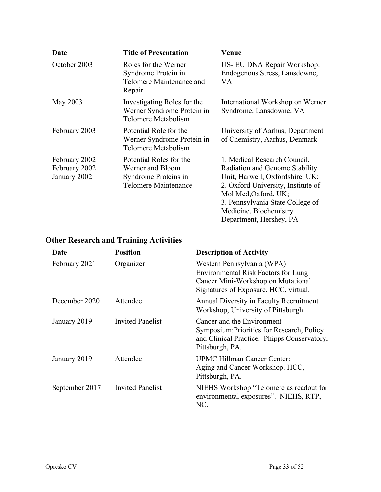| Date                                           | <b>Title of Presentation</b>                                                                | Venue                                                                                                                                                                                                                                                    |
|------------------------------------------------|---------------------------------------------------------------------------------------------|----------------------------------------------------------------------------------------------------------------------------------------------------------------------------------------------------------------------------------------------------------|
| October 2003                                   | Roles for the Werner<br>Syndrome Protein in<br>Telomere Maintenance and<br>Repair           | US- EU DNA Repair Workshop:<br>Endogenous Stress, Lansdowne,<br>VA                                                                                                                                                                                       |
| May 2003                                       | Investigating Roles for the<br>Werner Syndrome Protein in<br>Telomere Metabolism            | International Workshop on Werner<br>Syndrome, Lansdowne, VA                                                                                                                                                                                              |
| February 2003                                  | Potential Role for the<br>Werner Syndrome Protein in<br>Telomere Metabolism                 | University of Aarhus, Department<br>of Chemistry, Aarhus, Denmark                                                                                                                                                                                        |
| February 2002<br>February 2002<br>January 2002 | Potential Roles for the<br>Werner and Bloom<br>Syndrome Proteins in<br>Telomere Maintenance | 1. Medical Research Council,<br>Radiation and Genome Stability<br>Unit, Harwell, Oxfordshire, UK;<br>2. Oxford University, Institute of<br>Mol Med, Oxford, UK;<br>3. Pennsylvania State College of<br>Medicine, Biochemistry<br>Department, Hershey, PA |

# **Other Research and Training Activities**

| Date           | <b>Position</b>         | <b>Description of Activity</b>                                                                                                                   |
|----------------|-------------------------|--------------------------------------------------------------------------------------------------------------------------------------------------|
| February 2021  | Organizer               | Western Pennsylvania (WPA)<br>Environmental Risk Factors for Lung<br>Cancer Mini-Workshop on Mutational<br>Signatures of Exposure. HCC, virtual. |
| December 2020  | Attendee                | Annual Diversity in Faculty Recruitment<br>Workshop, University of Pittsburgh                                                                    |
| January 2019   | <b>Invited Panelist</b> | Cancer and the Environment<br>Symposium: Priorities for Research, Policy<br>and Clinical Practice. Phipps Conservatory,<br>Pittsburgh, PA.       |
| January 2019   | Attendee                | UPMC Hillman Cancer Center:<br>Aging and Cancer Workshop. HCC,<br>Pittsburgh, PA.                                                                |
| September 2017 | <b>Invited Panelist</b> | NIEHS Workshop "Telomere as readout for<br>environmental exposures". NIEHS, RTP,<br>NC.                                                          |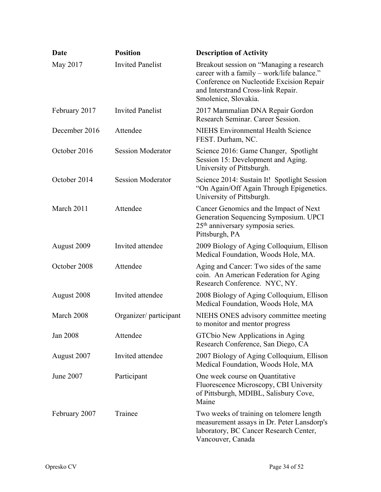| Date          | <b>Position</b>          | <b>Description of Activity</b>                                                                                                                                                                   |
|---------------|--------------------------|--------------------------------------------------------------------------------------------------------------------------------------------------------------------------------------------------|
| May 2017      | <b>Invited Panelist</b>  | Breakout session on "Managing a research<br>career with a family - work/life balance."<br>Conference on Nucleotide Excision Repair<br>and Interstrand Cross-link Repair.<br>Smolenice, Slovakia. |
| February 2017 | <b>Invited Panelist</b>  | 2017 Mammalian DNA Repair Gordon<br>Research Seminar. Career Session.                                                                                                                            |
| December 2016 | Attendee                 | <b>NIEHS Environmental Health Science</b><br>FEST. Durham, NC.                                                                                                                                   |
| October 2016  | <b>Session Moderator</b> | Science 2016: Game Changer, Spotlight<br>Session 15: Development and Aging.<br>University of Pittsburgh.                                                                                         |
| October 2014  | <b>Session Moderator</b> | Science 2014: Sustain It! Spotlight Session<br>"On Again/Off Again Through Epigenetics.<br>University of Pittsburgh.                                                                             |
| March 2011    | Attendee                 | Cancer Genomics and the Impact of Next<br>Generation Sequencing Symposium. UPCI<br>25 <sup>th</sup> anniversary symposia series.<br>Pittsburgh, PA                                               |
| August 2009   | Invited attendee         | 2009 Biology of Aging Colloquium, Ellison<br>Medical Foundation, Woods Hole, MA.                                                                                                                 |
| October 2008  | Attendee                 | Aging and Cancer: Two sides of the same<br>coin. An American Federation for Aging<br>Research Conference. NYC, NY.                                                                               |
| August 2008   | Invited attendee         | 2008 Biology of Aging Colloquium, Ellison<br>Medical Foundation, Woods Hole, MA                                                                                                                  |
| March 2008    | Organizer/ participant   | NIEHS ONES advisory committee meeting<br>to monitor and mentor progress                                                                                                                          |
| Jan 2008      | Attendee                 | GTCbio New Applications in Aging<br>Research Conference, San Diego, CA                                                                                                                           |
| August 2007   | Invited attendee         | 2007 Biology of Aging Colloquium, Ellison<br>Medical Foundation, Woods Hole, MA                                                                                                                  |
| June 2007     | Participant              | One week course on Quantitative<br>Fluorescence Microscopy, CBI University<br>of Pittsburgh, MDIBL, Salisbury Cove,<br>Maine                                                                     |
| February 2007 | Trainee                  | Two weeks of training on telomere length<br>measurement assays in Dr. Peter Lansdorp's<br>laboratory, BC Cancer Research Center,<br>Vancouver, Canada                                            |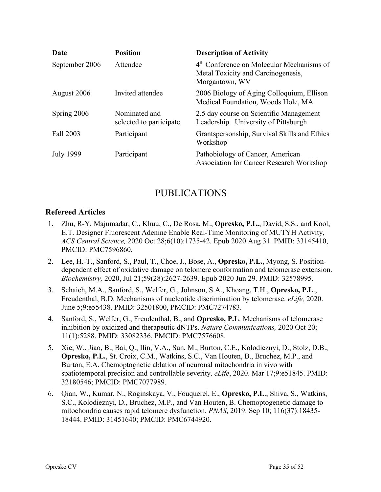| Date             | <b>Position</b>                          | <b>Description of Activity</b>                                                                                |
|------------------|------------------------------------------|---------------------------------------------------------------------------------------------------------------|
| September 2006   | Attendee                                 | 4 <sup>th</sup> Conference on Molecular Mechanisms of<br>Metal Toxicity and Carcinogenesis,<br>Morgantown, WV |
| August 2006      | Invited attendee                         | 2006 Biology of Aging Colloquium, Ellison<br>Medical Foundation, Woods Hole, MA                               |
| Spring 2006      | Nominated and<br>selected to participate | 2.5 day course on Scientific Management<br>Leadership. University of Pittsburgh                               |
| Fall 2003        | Participant                              | Grantspersonship, Survival Skills and Ethics<br>Workshop                                                      |
| <b>July 1999</b> | Participant                              | Pathobiology of Cancer, American<br><b>Association for Cancer Research Workshop</b>                           |

## PUBLICATIONS

### **Refereed Articles**

- 1. Zhu, R-Y, Majumadar, C., Khuu, C., De Rosa, M., **Opresko, P.L.**, David, S.S., and Kool, E.T. Designer Fluorescent Adenine Enable Real-Time Monitoring of MUTYH Activity, *ACS Central Science,* 2020 Oct 28;6(10):1735-42. Epub 2020 Aug 31. PMID: 33145410, PMCID: PMC7596860*.*
- 2. Lee, H.-T., Sanford, S., Paul, T., Choe, J., Bose, A., **Opresko, P.L.**, Myong, S. Positiondependent effect of oxidative damage on telomere conformation and telomerase extension. *Biochemistry,* 2020, Jul 21;59(28):2627-2639. Epub 2020 Jun 29. PMID: 32578995.
- 3. Schaich, M.A., Sanford, S., Welfer, G., Johnson, S.A., Khoang, T.H., **Opresko, P.L**., Freudenthal, B.D. Mechanisms of nucleotide discrimination by telomerase. *eLife,* 2020. June 5;9:e55438. PMID: 32501800, PMCID: PMC7274783.
- 4. Sanford, S., Welfer, G., Freudenthal, B., and **Opresko, P.L**. Mechanisms of telomerase inhibition by oxidized and therapeutic dNTPs. *Nature Communications,* 2020 Oct 20; 11(1):5288. PMID: 33082336, PMCID: PMC7576608.
- 5. Xie, W., Jiao, B., Bai, Q., Ilin, V.A., Sun, M., Burton, C.E., Kolodieznyi, D., Stolz, D.B., **Opresko, P.L.**, St. Croix, C.M., Watkins, S.C., Van Houten, B., Bruchez, M.P., and Burton, E.A. Chemoptognetic ablation of neuronal mitochondria in vivo with spatiotemporal precision and controllable severity. *eLife*, 2020. Mar 17;9:e51845. PMID: 32180546; PMCID: PMC7077989.
- 6. Qian, W., Kumar, N., Roginskaya, V., Fouquerel, E., **Opresko, P.L**., Shiva, S., Watkins, S.C., Kolodieznyi, D., Bruchez, M.P., and Van Houten, B. Chemoptogenetic damage to mitochondria causes rapid telomere dysfunction. *PNAS*, 2019. Sep 10; 116(37):18435- 18444. PMID: 31451640; PMCID: PMC6744920.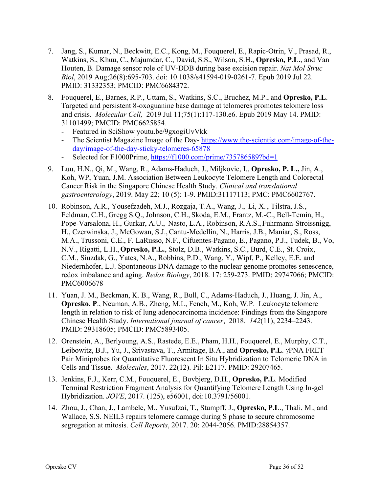- 7. Jang, S., Kumar, N., Beckwitt, E.C., Kong, M., Fouquerel, E., Rapic-Otrin, V., Prasad, R., Watkins, S., Khuu, C., Majumdar, C., David, S.S., Wilson, S.H., **Opresko, P.L.**, and Van Houten, B. Damage sensor role of UV-DDB during base excision repair. *Nat Mol Struc Biol*, 2019 Aug;26(8):695-703. doi: 10.1038/s41594-019-0261-7. Epub 2019 Jul 22. PMID: 31332353; PMCID: PMC6684372.
- 8. Fouquerel, E., Barnes, R.P., Uttam, S., Watkins, S.C., Bruchez, M.P., and **Opresko, P.L**. Targeted and persistent 8-oxoguanine base damage at telomeres promotes telomere loss and crisis. *Molecular Cell,* 2019 Jul 11;75(1):117-130.e6. Epub 2019 May 14. PMID: 31101499; PMCID: PMC6625854*.*
	- Featured in SciShow youtu.be/9gxogiUvVkk
	- The Scientist Magazine Image of the Day- $\frac{https://www.the-scientist.com/image-of-the-}{}$ day/image-of-the-day-sticky-telomeres-65878
	- Selected for F1000Prime, https://f1000.com/prime/735786589?bd=1
- 9. Luu, H.N., Qi, M., Wang, R., Adams-Haduch, J., Miljkovic, I., **Opresko, P. L.,** Jin, A., Koh, WP, Yuan, J.M. Association Between Leukocyte Telomere Length and Colorectal Cancer Risk in the Singapore Chinese Health Study. *Clinical and translational gastroenterology*, 2019. May 22; 10 (5): 1-9. PMID:31117113; PMC: PMC6602767.
- 10. Robinson, A.R., Yousefzadeh, M.J., Rozgaja, T.A., Wang, J., Li, X. , Tilstra, J.S., Feldman, C.H., Gregg S.Q., Johnson, C.H., Skoda, E.M., Frantz, M.-C., Bell-Temin, H., Pope-Varsalona, H., Gurkar, A.U., Nasto, L.A., Robinson, R.A.S., Fuhrmann-Stroissnigg, H., Czerwinska, J., McGowan, S.J.,Cantu-Medellin, N., Harris, J.B., Maniar, S., Ross, M.A., Trussoni, C.E., F. LaRusso, N.F., Cifuentes-Pagano, E., Pagano, P.J., Tudek, B., Vo, N.V., Rigatti, L.H., **Opresko, P.L.**, Stolz, D.B., Watkins, S.C., Burd, C.E., St. Croix, C.M., Siuzdak, G., Yates, N.A., Robbins, P.D., Wang, Y., Wipf, P., Kelley, E.E. and Niedernhofer, L.J. Spontaneous DNA damage to the nuclear genome promotes senescence, redox imbalance and aging. *Redox Biology*, 2018. 17: 259-273. PMID: 29747066; PMCID: PMC6006678
- 11. Yuan, J. M., Beckman, K. B., Wang, R., Bull, C., Adams-Haduch, J., Huang, J. Jin, A., **Opresko, P**., Neuman, A.B., Zheng, M.L, Fench, M., Koh, W.P. Leukocyte telomere length in relation to risk of lung adenocarcinoma incidence: Findings from the Singapore Chinese Health Study. *International journal of cancer*, 2018. *142*(11), 2234–2243. PMID: 29318605; PMCID: PMC5893405.
- 12. Orenstein, A., Berlyoung, A.S., Rastede, E.E., Pham, H.H., Fouquerel, E., Murphy, C.T., Leibowitz, B.J., Yu, J., Srivastava, T., Armitage, B.A., and **Opresko, P.L**.  $\gamma$ PNA FRET Pair Miniprobes for Quantitative Fluorescent In Situ Hybridization to Telomeric DNA in Cells and Tissue. *Molecules*, 2017. 22(12). Pil: E2117. PMID: 29207465.
- 13. Jenkins, F.J., Kerr, C.M., Fouquerel, E., Bovbjerg, D.H., **Opresko, P.L**. Modified Terminal Restriction Fragment Analysis for Quantifying Telomere Length Using In-gel Hybridization. *JOVE*, 2017. (125), e56001, doi:10.3791/56001.
- 14. Zhou, J., Chan, J., Lambele, M., Yusufzai, T., Stumpff, J., **Opresko, P.L**., Thali, M., and Wallace, S.S. NEIL3 repairs telomere damage during S phase to secure chromosome segregation at mitosis. *Cell Reports*, 2017. 20: 2044-2056. PMID:28854357.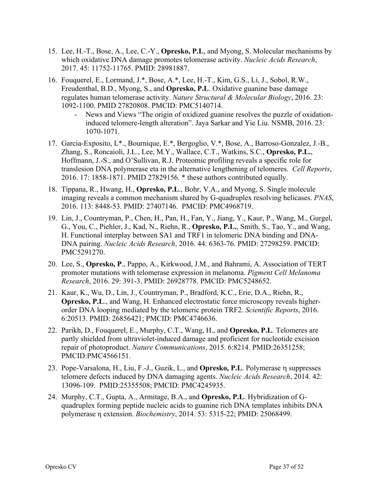- 15. Lee, H.-T., Bose, A., Lee, C.-Y., **Opresko, P.L**, and Myong, S. Molecular mechanisms by which oxidative DNA damage promotes telomerase activity. *Nucleic Acids Research*, 2017. 45: 11752-11765. PMID: 28981887.
- 16. Fouquerel, E., Lormand, J.\*, Bose, A.\*, Lee, H.-T., Kim, G.S., Li, J., Sobol, R.W., Freudenthal, B.D., Myong, S., and **Opresko, P.L**. Oxidative guanine base damage regulates human telomerase activity. *Nature Structural & Molecular Biology*, 2016. 23: 1092-1100. PMID 27820808. PMCID: PMC5140714.
	- News and Views "The origin of oxidized guanine resolves the puzzle of oxidationinduced telomere-length alteration". Jaya Sarkar and Yie Liu. NSMB, 2016. 23: 1070-1071.
- 17. Garcia-Exposito, L\*., Bournique, E.\*, Bergoglio, V.\*, Bose, A., Barroso-Gonzalez, J.-B., Zhang, S., Roncaioli, J.L., Lee, M.Y., Wallace, C.T., Watkins, S.C., **Opresko, P.L.**, Hoffmann, J.-S., and O'Sullivan, R.J. Proteomic profiling reveals a specific role for translesion DNA polymerase eta in the alternative lengthening of telomeres. *Cell Reports*, 2016. 17: 1858-1871. PMID 27829156. \* these authors contributed equally.
- 18. Tippana, R., Hwang, H., **Opresko, P.L**., Bohr, V.A., and Myong, S. Single molecule imaging reveals a common mechanism shared by G-quadruplex resolving helicases. *PNAS*, 2016. 113: 8448-53. PMID: 27407146. PMCID: PMC4968719.
- 19. Lin, J., Countryman, P., Chen, H., Pan, H., Fan, Y., Jiang, Y., Kaur, P., Wang, M., Gurgel, G., You, C., Piehler, J., Kad, N., Riehn, R., **Opresko, P.L.**, Smith, S., Tao, Y., and Wang, H. Functional interplay between SA1 and TRF1 in telomeric DNA binding and DNA-DNA pairing. *Nucleic Acids Research*, 2016. 44: 6363-76. PMID: 27298259. PMCID: PMC5291270.
- 20. Lee, S., **Opresko, P**., Pappo, A., Kirkwood, J.M., and Bahrami, A. Association of TERT promoter mutations with telomerase expression in melanoma. *Pigment Cell Melanoma Research*, 2016. 29: 391-3. PMID: 26928778. PMCID: PMC5248652.
- 21. Kaur, K., Wu, D., Lin, J., Countryman, P., Bradford, K.C., Erie, D.A., Riehn, R., **Opresko, P.L**., and Wang, H. Enhanced electrostatic force microscopy reveals higherorder DNA looping mediated by the telomeric protein TRF2. *Scientific Reports*, 2016. 6:20513. PMID: 26856421; PMCID: PMC4746636.
- 22. Parikh, D., Fouquerel, E., Murphy, C.T., Wang, H., and **Opresko, P.L**. Telomeres are partly shielded from ultraviolet-induced damage and proficient for nucleotide excision repair of photoproduct. *Nature Communications*, 2015. 6:8214. PMID:26351258; PMCID:PMC4566151.
- 23. Pope-Varsalona, H., Liu, F.-J., Guzik, L., and **Opresko, P.L**. Polymerase  $\eta$  suppresses telomere defects induced by DNA damaging agents. *Nucleic Acids Research*, 2014. 42: 13096-109. PMID:25355508; PMCID: PMC4245935.
- 24. Murphy, C.T., Gupta, A., Armitage, B.A., and **Opresko, P.L**. Hybridization of Gquadruplex forming peptide nucleic acids to guanine rich DNA templates inhibits DNA polymerase η extension. *Biochemistry*, 2014. 53: 5315-22; PMID: 25068499.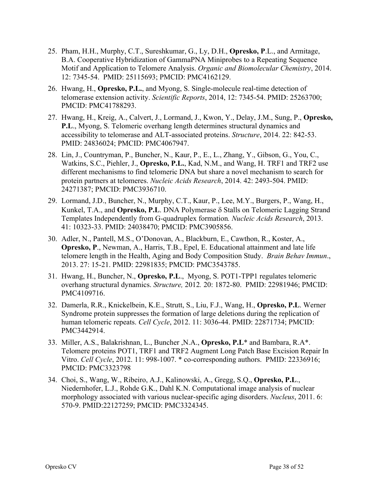- 25. Pham, H.H., Murphy, C.T., Sureshkumar, G., Ly, D.H., **Opresko, P**.L., and Armitage, B.A. Cooperative Hybridization of GammaPNA Miniprobes to a Repeating Sequence Motif and Application to Telomere Analysis. *Organic and Biomolecular Chemistry*, 2014. 12: 7345-54. PMID: 25115693; PMCID: PMC4162129.
- 26. Hwang, H., **Opresko, P.L.**, and Myong, S. Single-molecule real-time detection of telomerase extension activity. *Scientific Reports*, 2014, 12: 7345-54. PMID: 25263700; PMCID: PMC41788293.
- 27. Hwang, H., Kreig, A., Calvert, J., Lormand, J., Kwon, Y., Delay, J.M., Sung, P., **Opresko, P.L**., Myong, S. Telomeric overhang length determines structural dynamics and accessibility to telomerase and ALT-associated proteins. *Structure*, 2014. 22: 842-53. PMID: 24836024; PMCID: PMC4067947.
- 28. Lin, J., Countryman, P., Buncher, N., Kaur, P., E., L., Zhang, Y., Gibson, G., You, C., Watkins, S.C., Piehler, J., **Opresko, P.L.**, Kad, N.M., and Wang, H. TRF1 and TRF2 use different mechanisms to find telomeric DNA but share a novel mechanism to search for protein partners at telomeres. *Nucleic Acids Research*, 2014. 42: 2493-504. PMID: 24271387; PMCID: PMC3936710.
- 29. Lormand, J.D., Buncher, N., Murphy, C.T., Kaur, P., Lee, M.Y., Burgers, P., Wang, H., Kunkel, T.A., and **Opresko, P.L**. DNA Polymerase d Stalls on Telomeric Lagging Strand Templates Independently from G-quadruplex formation*. Nucleic Acids Research*, 2013. 41: 10323-33. PMID: 24038470; PMCID: PMC3905856.
- 30. Adler, N., Pantell, M.S., O'Donovan, A., Blackburn, E., Cawthon, R., Koster, A., **Opresko, P**., Newman, A., Harris, T.B., Epel, E. Educational attainment and late life telomere length in the Health, Aging and Body Composition Study. *Brain Behav Immun*., 2013. 27: 15-21. PMID: 22981835; PMCID: PMC3543785.
- 31. Hwang, H., Buncher, N., **Opresko, P.L**., Myong, S. POT1-TPP1 regulates telomeric overhang structural dynamics. *Structure,* 2012*.* 20: 1872-80. PMID: 22981946; PMCID: PMC4109716.
- 32. Damerla, R.R., Knickelbein, K.E., Strutt, S., Liu, F.J., Wang, H., **Opresko, P.L**. Werner Syndrome protein suppresses the formation of large deletions during the replication of human telomeric repeats. *Cell Cycle*, 2012. 11: 3036-44. PMID: 22871734; PMCID: PMC3442914.
- 33. Miller, A.S., Balakrishnan, L., Buncher ,N.A., **Opresko, P.L**\* and Bambara, R.A\*. Telomere proteins POT1, TRF1 and TRF2 Augment Long Patch Base Excision Repair In Vitro. *Cell Cycle*, 2012. 11: 998-1007. \* co-corresponding authors. PMID: 22336916; PMCID: PMC3323798
- 34. Choi, S., Wang, W., Ribeiro, A.J., Kalinowski, A., Gregg, S.Q., **Opresko, P.L**., Niedernhofer, L.J., Rohde G.K., Dahl K.N. Computational image analysis of nuclear morphology associated with various nuclear-specific aging disorders. *Nucleus*, 2011. 6: 570-9. PMID:22127259; PMCID: PMC3324345.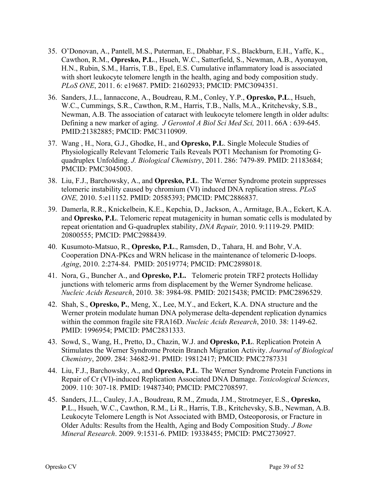- 35. O'Donovan, A., Pantell, M.S., Puterman, E., Dhabhar, F.S., Blackburn, E.H., Yaffe, K., Cawthon, R.M., **Opresko, P.L**., Hsueh, W.C., Satterfield, S., Newman, A.B., Ayonayon, H.N., Rubin, S.M., Harris, T.B., Epel, E.S. Cumulative inflammatory load is associated with short leukocyte telomere length in the health, aging and body composition study. *PLoS ONE*, 2011. 6: e19687. PMID: 21602933; PMCID: PMC3094351.
- 36. Sanders, J.L., Iannaccone, A., Boudreau, R.M., Conley, Y.P., **Opresko, P.L**., Hsueh, W.C., Cummings, S.R., Cawthon, R.M., Harris, T.B., Nalls, M.A., Kritchevsky, S.B., Newman, A.B. The association of cataract with leukocyte telomere length in older adults: Defining a new marker of aging. *J Gerontol A Biol Sci Med Sci,* 2011. 66A : 639-645. PMID:21382885; PMCID: PMC3110909.
- 37. Wang , H., Nora, G.J., Ghodke, H., and **Opresko, P.L**. Single Molecule Studies of Physiologically Relevant Telomeric Tails Reveals POT1 Mechanism for Promoting Gquadruplex Unfolding. *J. Biological Chemistry*, 2011. 286: 7479-89. PMID: 21183684; PMCID: PMC3045003.
- 38. Liu, F.J., Barchowsky, A., and **Opresko, P.L**. The Werner Syndrome protein suppresses telomeric instability caused by chromium (VI) induced DNA replication stress. *PLoS ONE,* 2010. 5:e11152. PMID: 20585393; PMCID: PMC2886837.
- 39. Damerla, R.R., Knickelbein, K.E., Kepchia, D., Jackson, A., Armitage, B.A., Eckert, K.A. and **Opresko, P.L**. Telomeric repeat mutagenicity in human somatic cells is modulated by repeat orientation and G-quadruplex stability, *DNA Repair,* 2010. 9:1119-29. PMID: 20800555; PMCID: PMC2988439.
- 40. Kusumoto-Matsuo, R., **Opresko, P.L**., Ramsden, D., Tahara, H. and Bohr, V.A. Cooperation DNA-PKcs and WRN helicase in the maintenance of telomeric D-loops. *Aging*, 2010. 2:274-84. PMID: 20519774; PMCID: PMC2898018.
- 41. Nora, G., Buncher A., and **Opresko, P.L.** Telomeric protein TRF2 protects Holliday junctions with telomeric arms from displacement by the Werner Syndrome helicase. *Nucleic Acids Research*, 2010. 38: 3984-98. PMID: 20215438; PMCID: PMC2896529.
- 42. Shah, S., **Opresko, P.**, Meng, X., Lee, M.Y., and Eckert, K.A. DNA structure and the Werner protein modulate human DNA polymerase delta-dependent replication dynamics within the common fragile site FRA16D. *Nucleic Acids Research*, 2010. 38: 1149-62. PMID: 1996954; PMCID: PMC2831333.
- 43. Sowd, S., Wang, H., Pretto, D., Chazin, W.J. and **Opresko, P.L**. Replication Protein A Stimulates the Werner Syndrome Protein Branch Migration Activity. *Journal of Biological Chemistry*, 2009. 284: 34682-91. PMID: 19812417; PMCID: PMC2787331
- 44. Liu, F.J., Barchowsky, A., and **Opresko, P.L**. The Werner Syndrome Protein Functions in Repair of Cr (VI)-induced Replication Associated DNA Damage. *Toxicological Sciences*, 2009. 110: 307-18. PMID: 19487340; PMCID: PMC2708597.
- 45. Sanders, J.L., Cauley, J.A., Boudreau, R.M., Zmuda, J.M., Strotmeyer, E.S., **Opresko, P**.L., Hsueh, W.C., Cawthon, R.M., Li R., Harris, T.B., Kritchevsky, S.B., Newman, A.B. Leukocyte Telomere Length is Not Associated with BMD, Osteoporosis, or Fracture in Older Adults: Results from the Health, Aging and Body Composition Study. *J Bone Mineral Research*. 2009. 9:1531-6. PMID: 19338455; PMCID: PMC2730927.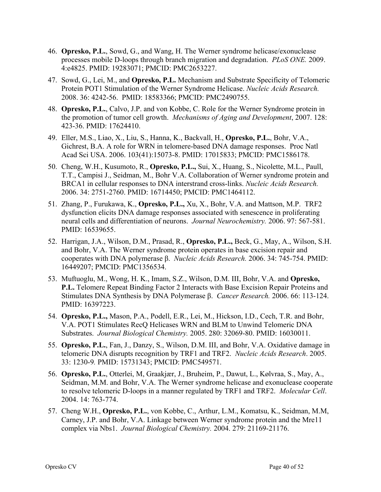- 46. **Opresko, P.L.**, Sowd, G., and Wang, H. The Werner syndrome helicase/exonuclease processes mobile D-loops through branch migration and degradation. *PLoS ONE.* 2009. 4:e4825. PMID: 19283071; PMCID: PMC2653227.
- 47. Sowd, G., Lei, M., and **Opresko, P.L.** Mechanism and Substrate Specificity of Telomeric Protein POT1 Stimulation of the Werner Syndrome Helicase. *Nucleic Acids Research.*  2008. 36: 4242-56. PMID: 18583366; PMCID: PMC2490755.
- 48. **Opresko, P.L.**, Calvo, J.P. and von Kobbe, C. Role for the Werner Syndrome protein in the promotion of tumor cell growth. *Mechanisms of Aging and Development*, 2007. 128: 423-36. PMID: 17624410.
- 49. Eller, M.S., Liao, X., Liu, S., Hanna, K., Backvall, H., **Opresko, P.L.**, Bohr, V.A., Gichrest, B.A. A role for WRN in telomere-based DNA damage responses. Proc Natl Acad Sci USA. 2006. 103(41):15073-8. PMID: 17015833; PMCID: PMC1586178.
- 50. Cheng, W.H., Kusumoto, R., **Opresko, P.L.,** Sui, X., Huang, S., Nicolette, M.L., Paull, T.T., Campisi J., Seidman, M., Bohr V.A. Collaboration of Werner syndrome protein and BRCA1 in cellular responses to DNA interstrand cross-links. *Nucleic Acids Research.* 2006. 34: 2751-2760. PMID: 16714450; PMCID: PMC1464112.
- 51. Zhang, P., Furukawa, K., **Opresko, P.L.,** Xu, X., Bohr, V.A. and Mattson, M.P. TRF2 dysfunction elicits DNA damage responses associated with senescence in proliferating neural cells and differentiation of neurons. *Journal Neurochemistry.* 2006. 97: 567-581. PMID: 16539655.
- 52. Harrigan, J.A., Wilson, D.M., Prasad, R., **Opresko, P.L.,** Beck, G., May, A., Wilson, S.H. and Bohr, V.A. The Werner syndrome protein operates in base excision repair and cooperates with DNA polymerase β. *Nucleic Acids Research.* 2006. 34: 745-754. PMID: 16449207; PMCID: PMC1356534.
- 53. Muftuoglu, M., Wong, H. K., Imam, S.Z., Wilson, D.M. III, Bohr, V.A. and **Opresko, P.L.** Telomere Repeat Binding Factor 2 Interacts with Base Excision Repair Proteins and Stimulates DNA Synthesis by DNA Polymerase β. *Cancer Research.* 2006. 66: 113-124. PMID: 16397223.
- 54. **Opresko, P.L.,** Mason, P.A., Podell, E.R., Lei, M., Hickson, I.D., Cech, T.R. and Bohr, V.A. POT1 Stimulates RecQ Helicases WRN and BLM to Unwind Telomeric DNA Substrates. *Journal Biological Chemistry.* 2005. 280: 32069-80. PMID: 16030011.
- 55. **Opresko, P.L.**, Fan, J., Danzy, S., Wilson, D.M. III, and Bohr, V.A. Oxidative damage in telomeric DNA disrupts recognition by TRF1 and TRF2. *Nucleic Acids Research*. 2005. 33: 1230-9*.* PMID: 15731343; PMCID: PMC549571.
- 56. **Opresko, P.L.**, Otterlei, M, Graakjær, J., Bruheim, P., Dawut, L., Kølvraa, S., May, A., Seidman, M.M. and Bohr, V.A. The Werner syndrome helicase and exonuclease cooperate to resolve telomeric D-loops in a manner regulated by TRF1 and TRF2. *Molecular Cell*. 2004. 14: 763-774.
- 57. Cheng W.H., **Opresko, P.L.**, von Kobbe, C., Arthur, L.M., Komatsu, K., Seidman, M.M, Carney, J.P. and Bohr, V.A. Linkage between Werner syndrome protein and the Mre11 complex via Nbs1. *Journal Biological Chemistry.* 2004. 279: 21169-21176.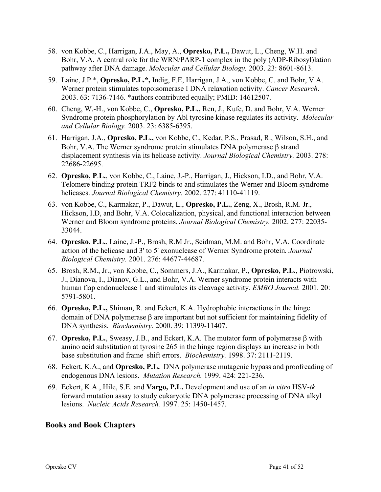- 58. von Kobbe, C., Harrigan, J.A., May, A., **Opresko, P.L.,** Dawut, L., Cheng, W.H. and Bohr, V.A. A central role for the WRN/PARP-1 complex in the poly (ADP-Ribosyl)lation pathway after DNA damage. *Molecular and Cellular Biology.* 2003. 23: 8601-8613.
- 59. Laine, J.P.\*, **Opresko, P.L.\*,** Indig, F.E, Harrigan, J.A., von Kobbe, C. and Bohr, V.A. Werner protein stimulates topoisomerase I DNA relaxation activity. *Cancer Research*. 2003. 63: 7136-7146. \*authors contributed equally; PMID: 14612507.
- 60. Cheng, W.-H., von Kobbe, C., **Opresko, P.L.,** Ren, J., Kufe, D. and Bohr, V.A. Werner Syndrome protein phosphorylation by Abl tyrosine kinase regulates its activity. *Molecular and Cellular Biology.* 2003. 23: 6385-6395.
- 61. Harrigan, J.A., **Opresko, P.L.,** von Kobbe, C., Kedar, P.S., Prasad, R., Wilson, S.H., and Bohr, V.A. The Werner syndrome protein stimulates DNA polymerase  $\beta$  strand displacement synthesis via its helicase activity. *Journal Biological Chemistry.* 2003. 278: 22686-22695.
- 62. **Opresko, P**.**L.**, von Kobbe, C., Laine, J.-P., Harrigan, J., Hickson, I.D., and Bohr, V.A. Telomere binding protein TRF2 binds to and stimulates the Werner and Bloom syndrome helicases. *Journal Biological Chemistry.* 2002. 277: 41110-41119.
- 63. von Kobbe, C., Karmakar, P., Dawut, L., **Opresko, P.L.**, Zeng, X., Brosh, R.M. Jr., Hickson, I.D, and Bohr, V.A. Colocalization, physical, and functional interaction between Werner and Bloom syndrome proteins. *Journal Biological Chemistry.* 2002. 277: 22035- 33044.
- 64. **Opresko, P.L.**, Laine, J.-P., Brosh, R.M Jr., Seidman, M.M. and Bohr, V.A. Coordinate action of the helicase and 3' to 5' exonuclease of Werner Syndrome protein*. Journal Biological Chemistry.* 2001. 276: 44677-44687.
- 65. Brosh, R.M., Jr., von Kobbe, C., Sommers, J.A., Karmakar, P., **Opresko, P.L.**, Piotrowski, J., Dianova, I., Dianov, G.L., and Bohr, V.A. Werner syndrome protein interacts with human flap endonuclease 1 and stimulates its cleavage activity*. EMBO Journal.* 2001. 20: 5791-5801.
- 66. **Opresko, P.L.,** Shiman, R. and Eckert, K.A. Hydrophobic interactions in the hinge domain of DNA polymerase  $\beta$  are important but not sufficient for maintaining fidelity of DNA synthesis. *Biochemistry.* 2000. 39: 11399-11407.
- 67. **Opresko, P.L.**, Sweasy, J.B., and Eckert, K.A. The mutator form of polymerase  $\beta$  with amino acid substitution at tyrosine 265 in the hinge region displays an increase in both base substitution and frame shift errors. *Biochemistry.* 1998. 37: 2111-2119.
- 68. Eckert, K.A., and **Opresko, P.L.** DNA polymerase mutagenic bypass and proofreading of endogenous DNA lesions. *Mutation Research.* 1999. 424: 221-236.
- 69. Eckert, K.A., Hile, S.E. and **Vargo, P.L.** Development and use of an *in vitro* HSV-*tk* forward mutation assay to study eukaryotic DNA polymerase processing of DNA alkyl lesions. *Nucleic Acids Research.* 1997. 25: 1450-1457.

#### **Books and Book Chapters**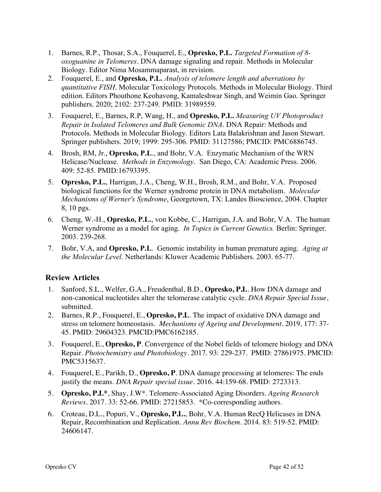- 1. Barnes, R.P., Thosar, S.A., Fouquerel, E., **Opresko, P.L.** *Targeted Formation of 8 oxoguanine in Telomeres*. DNA damage signaling and repair. Methods in Molecular Biology. Editor Nima Mosammaparast, in revision.
- 2. Fouquerel, E., and **Opresko, P.L.** *Analysis of telomere length and aberrations by quantitative FISH*. Molecular Toxicology Protocols. Methods in Molecular Biology. Third edition. Editors Phouthone Keohavong, Kamaleshwar Singh, and Weimin Gao. Springer publishers. 2020; 2102: 237-249. PMID: 31989559.
- 3. Fouquerel, E., Barnes, R.P, Wang, H., and **Opresko, P.L.** *Measuring UV Photoproduct Repair in Isolated Telomeres and Bulk Genomic DNA*. DNA Repair: Methods and Protocols. Methods in Molecular Biology. Editors Lata Balakrishnan and Jason Stewart. Springer publishers. 2019; 1999: 295-306. PMID: 31127586; PMCID: PMC6886745.
- 4. Brosh, RM, Jr., **Opresko, P.L**., and Bohr, V.A. Enzymatic Mechanism of the WRN Helicase/Nuclease. *Methods in Enzymology*. San Diego, CA: Academic Press. 2006. 409: 52-85. PMID:16793395.
- 5. **Opresko, P.L.**, Harrigan, J.A., Cheng, W.H., Brosh, R.M., and Bohr, V.A. Proposed biological functions for the Werner syndrome protein in DNA metabolism. *Molecular Mechanisms of Werner's Syndrome*, Georgetown, TX: Landes Bioscience, 2004. Chapter 8, 10 pgs.
- 6. Cheng, W.-H., **Opresko, P.L.**, von Kobbe, C., Harrigan, J.A. and Bohr, V.A. The human Werner syndrome as a model for aging. *In Topics in Current Genetics.* Berlin: Springer. 2003. 239-268.
- 7. Bohr, V.A, and **Opresko, P.L**. Genomic instability in human premature aging. *Aging at the Molecular Level*. Netherlands: Kluwer Academic Publishers. 2003. 65-77.

### **Review Articles**

- 1. Sanford, S.L., Welfer, G.A., Freudenthal, B.D., **Opresko, P.L**. How DNA damage and non-canonical nucleotides alter the telomerase catalytic cycle. *DNA Repair Special Issue*, submitted.
- 2. Barnes, R.P., Fouquerel, E., **Opresko, P.L**. The impact of oxidative DNA damage and stress on telomere homeostasis. *Mechanisms of Ageing and Development*. 2019, 177: 37- 45. PMID: 29604323. PMCID:PMC6162185.
- 3. Fouquerel, E., **Opresko, P**. Convergence of the Nobel fields of telomere biology and DNA Repair. *Photochemistry and Photobiology*. 2017. 93: 229-237. PMID: 27861975. PMCID: PMC5315637.
- 4. Fouquerel, E., Parikh, D., **Opresko, P**. DNA damage processing at telomeres: The ends justify the means. *DNA Repair special issue.* 2016. 44:159-68. PMID: 2723313.
- 5. **Opresko, P.L\***, Shay, J.W\*. Telomere-Associated Aging Disorders. *Ageing Research Reviews.* 2017. 33: 52-66. PMID: 27215853. \*Co-corresponding authors.
- 6. Croteau, D.L., Popuri, V., **Opresko, P.L.**, Bohr, V.A. Human RecQ Helicases in DNA Repair, Recombination and Replication. *Annu Rev Biochem*. 2014. 83: 519-52. PMID: 24606147.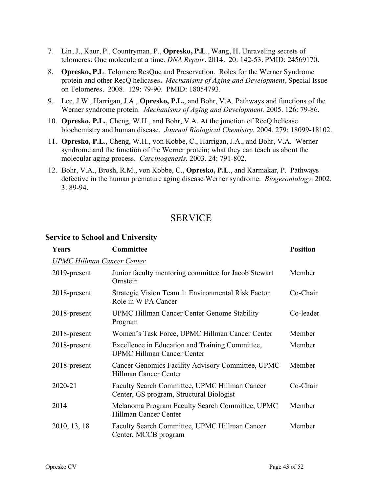- 7. Lin, J., Kaur, P., Countryman, P., **Opresko, P.L**., Wang, H. Unraveling secrets of telomeres: One molecule at a time. *DNA Repair*. 2014. 20: 142-53. PMID: 24569170.
- 8. **Opresko, P.L**. Telomere ResQue and Preservation. Roles for the Werner Syndrome protein and other RecQ helicases**.** *Mechanisms of Aging and Development*, Special Issue on Telomeres. 2008. 129: 79-90. PMID: 18054793.
- 9. Lee, J.W., Harrigan, J.A., **Opresko, P.L.**, and Bohr, V.A. Pathways and functions of the Werner syndrome protein. *Mechanisms of Aging and Development.* 2005. 126: 79-86.
- 10. **Opresko, P.L.**, Cheng, W.H., and Bohr, V.A. At the junction of RecQ helicase biochemistry and human disease. *Journal Biological Chemistry.* 2004. 279: 18099-18102.
- 11. **Opresko, P.L**., Cheng, W.H., von Kobbe, C., Harrigan, J.A., and Bohr, V.A. Werner syndrome and the function of the Werner protein; what they can teach us about the molecular aging process. *Carcinogenesis.* 2003. 24: 791-802.
- 12. Bohr, V.A., Brosh, R.M., von Kobbe, C., **Opresko, P.L**., and Karmakar, P. Pathways defective in the human premature aging disease Werner syndrome. *Biogerontology*. 2002. 3: 89-94.

### SERVICE

#### **Service to School and University**

| Years                             | Committee                                                                                 | <b>Position</b> |
|-----------------------------------|-------------------------------------------------------------------------------------------|-----------------|
| <b>UPMC Hillman Cancer Center</b> |                                                                                           |                 |
| $2019$ -present                   | Junior faculty mentoring committee for Jacob Stewart<br>Ornstein                          | Member          |
| $2018$ -present                   | Strategic Vision Team 1: Environmental Risk Factor<br>Role in W PA Cancer                 | Co-Chair        |
| $2018$ -present                   | <b>UPMC Hillman Cancer Center Genome Stability</b><br>Program                             | Co-leader       |
| $2018$ -present                   | Women's Task Force, UPMC Hillman Cancer Center                                            | Member          |
| $2018$ -present                   | Excellence in Education and Training Committee,<br><b>UPMC Hillman Cancer Center</b>      | Member          |
| $2018$ -present                   | Cancer Genomics Facility Advisory Committee, UPMC<br><b>Hillman Cancer Center</b>         | Member          |
| 2020-21                           | Faculty Search Committee, UPMC Hillman Cancer<br>Center, GS program, Structural Biologist | Co-Chair        |
| 2014                              | Melanoma Program Faculty Search Committee, UPMC<br><b>Hillman Cancer Center</b>           | Member          |
| 2010, 13, 18                      | Faculty Search Committee, UPMC Hillman Cancer<br>Center, MCCB program                     | Member          |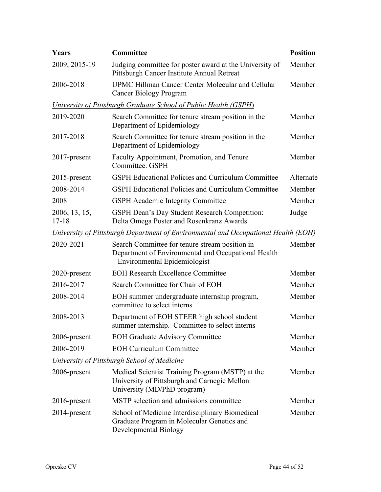| <b>Years</b>               | Committee                                                                                                                               | <b>Position</b> |
|----------------------------|-----------------------------------------------------------------------------------------------------------------------------------------|-----------------|
| 2009, 2015-19              | Judging committee for poster award at the University of<br>Pittsburgh Cancer Institute Annual Retreat                                   | Member          |
| 2006-2018                  | UPMC Hillman Cancer Center Molecular and Cellular<br><b>Cancer Biology Program</b>                                                      | Member          |
|                            | <b>University of Pittsburgh Graduate School of Public Health (GSPH)</b>                                                                 |                 |
| 2019-2020                  | Search Committee for tenure stream position in the<br>Department of Epidemiology                                                        | Member          |
| 2017-2018                  | Search Committee for tenure stream position in the<br>Department of Epidemiology                                                        | Member          |
| $2017$ -present            | Faculty Appointment, Promotion, and Tenure<br>Committee. GSPH                                                                           | Member          |
| 2015-present               | <b>GSPH Educational Policies and Curriculum Committee</b>                                                                               | Alternate       |
| 2008-2014                  | <b>GSPH Educational Policies and Curriculum Committee</b>                                                                               | Member          |
| 2008                       | <b>GSPH</b> Academic Integrity Committee                                                                                                | Member          |
| 2006, 13, 15,<br>$17 - 18$ | GSPH Dean's Day Student Research Competition:<br>Delta Omega Poster and Rosenkranz Awards                                               | Judge           |
|                            | University of Pittsburgh Department of Environmental and Occupational Health (EOH)                                                      |                 |
| 2020-2021                  | Search Committee for tenure stream position in<br>Department of Environmental and Occupational Health<br>- Environmental Epidemiologist | Member          |
| 2020-present               | <b>EOH Research Excellence Committee</b>                                                                                                | Member          |
| 2016-2017                  | Search Committee for Chair of EOH                                                                                                       | Member          |
| 2008-2014                  | EOH summer undergraduate internship program,<br>committee to select interns                                                             | Member          |
| 2008-2013                  | Department of EOH STEER high school student<br>summer internship. Committee to select interns                                           | Member          |
| 2006-present               | <b>EOH Graduate Advisory Committee</b>                                                                                                  | Member          |
| 2006-2019                  | <b>EOH Curriculum Committee</b>                                                                                                         | Member          |
|                            | <u><b>University of Pittsburgh School of Medicine</b></u>                                                                               |                 |
| 2006-present               | Medical Scientist Training Program (MSTP) at the<br>University of Pittsburgh and Carnegie Mellon<br>University (MD/PhD program)         | Member          |
| $2016$ -present            | MSTP selection and admissions committee                                                                                                 | Member          |
| 2014-present               | School of Medicine Interdisciplinary Biomedical<br>Graduate Program in Molecular Genetics and<br>Developmental Biology                  | Member          |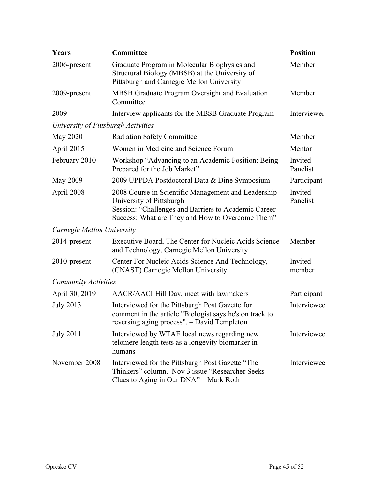| Years                               | Committee                                                                                                                                                                                   | <b>Position</b>     |
|-------------------------------------|---------------------------------------------------------------------------------------------------------------------------------------------------------------------------------------------|---------------------|
| 2006-present                        | Graduate Program in Molecular Biophysics and<br>Structural Biology (MBSB) at the University of<br>Pittsburgh and Carnegie Mellon University                                                 | Member              |
| 2009-present                        | <b>MBSB</b> Graduate Program Oversight and Evaluation<br>Committee                                                                                                                          | Member              |
| 2009                                | Interview applicants for the MBSB Graduate Program                                                                                                                                          | Interviewer         |
| University of Pittsburgh Activities |                                                                                                                                                                                             |                     |
| May 2020                            | <b>Radiation Safety Committee</b>                                                                                                                                                           | Member              |
| April 2015                          | Women in Medicine and Science Forum                                                                                                                                                         | Mentor              |
| February 2010                       | Workshop "Advancing to an Academic Position: Being<br>Prepared for the Job Market"                                                                                                          | Invited<br>Panelist |
| May 2009                            | 2009 UPPDA Postdoctoral Data & Dine Symposium                                                                                                                                               | Participant         |
| April 2008                          | 2008 Course in Scientific Management and Leadership<br>University of Pittsburgh<br>Session: "Challenges and Barriers to Academic Career<br>Success: What are They and How to Overcome Them" | Invited<br>Panelist |
| Carnegie Mellon University          |                                                                                                                                                                                             |                     |
| 2014-present                        | Executive Board, The Center for Nucleic Acids Science<br>and Technology, Carnegie Mellon University                                                                                         | Member              |
| 2010-present                        | Center For Nucleic Acids Science And Technology,<br>(CNAST) Carnegie Mellon University                                                                                                      | Invited<br>member   |
| <b>Community Activities</b>         |                                                                                                                                                                                             |                     |
| April 30, 2019                      | AACR/AACI Hill Day, meet with lawmakers                                                                                                                                                     | Participant         |
| <b>July 2013</b>                    | Interviewed for the Pittsburgh Post Gazette for<br>comment in the article "Biologist says he's on track to<br>reversing aging process". - David Templeton                                   | Interviewee         |
| <b>July 2011</b>                    | Interviewed by WTAE local news regarding new<br>telomere length tests as a longevity biomarker in<br>humans                                                                                 | Interviewee         |
| November 2008                       | Interviewed for the Pittsburgh Post Gazette "The<br>Thinkers" column. Nov 3 issue "Researcher Seeks"<br>Clues to Aging in Our DNA" – Mark Roth                                              | Interviewee         |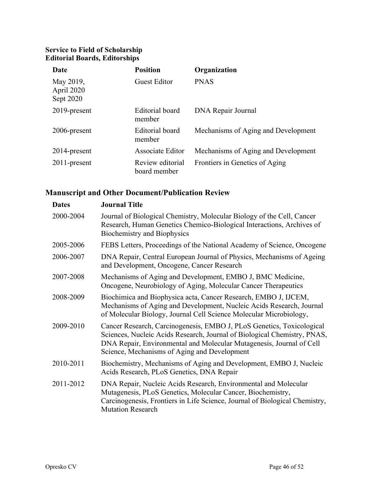#### **Service to Field of Scholarship Editorial Boards, Editorships**

| Date                                 | <b>Position</b>                  | Organization                        |
|--------------------------------------|----------------------------------|-------------------------------------|
| May 2019,<br>April 2020<br>Sept 2020 | <b>Guest Editor</b>              | <b>PNAS</b>                         |
| 2019-present                         | <b>Editorial</b> board<br>member | DNA Repair Journal                  |
| 2006-present                         | <b>Editorial</b> board<br>member | Mechanisms of Aging and Development |
| 2014-present                         | Associate Editor                 | Mechanisms of Aging and Development |
| $2011$ -present                      | Review editorial<br>board member | Frontiers in Genetics of Aging      |

### **Manuscript and Other Document/Publication Review**

| <b>Dates</b> | <b>Journal Title</b>                                                                                                                                                                                                                                                      |
|--------------|---------------------------------------------------------------------------------------------------------------------------------------------------------------------------------------------------------------------------------------------------------------------------|
| 2000-2004    | Journal of Biological Chemistry, Molecular Biology of the Cell, Cancer<br>Research, Human Genetics Chemico-Biological Interactions, Archives of<br><b>Biochemistry and Biophysics</b>                                                                                     |
| 2005-2006    | FEBS Letters, Proceedings of the National Academy of Science, Oncogene                                                                                                                                                                                                    |
| 2006-2007    | DNA Repair, Central European Journal of Physics, Mechanisms of Ageing<br>and Development, Oncogene, Cancer Research                                                                                                                                                       |
| 2007-2008    | Mechanisms of Aging and Development, EMBO J, BMC Medicine,<br>Oncogene, Neurobiology of Aging, Molecular Cancer Therapeutics                                                                                                                                              |
| 2008-2009    | Biochimica and Biophysica acta, Cancer Research, EMBO J, IJCEM,<br>Mechanisms of Aging and Development, Nucleic Acids Research, Journal<br>of Molecular Biology, Journal Cell Science Molecular Microbiology,                                                             |
| 2009-2010    | Cancer Research, Carcinogenesis, EMBO J, PLoS Genetics, Toxicological<br>Sciences, Nucleic Acids Research, Journal of Biological Chemistry, PNAS,<br>DNA Repair, Environmental and Molecular Mutagenesis, Journal of Cell<br>Science, Mechanisms of Aging and Development |
| 2010-2011    | Biochemistry, Mechanisms of Aging and Development, EMBO J, Nucleic<br>Acids Research, PLoS Genetics, DNA Repair                                                                                                                                                           |
| 2011-2012    | DNA Repair, Nucleic Acids Research, Environmental and Molecular<br>Mutagenesis, PLoS Genetics, Molecular Cancer, Biochemistry,<br>Carcinogenesis, Frontiers in Life Science, Journal of Biological Chemistry,<br><b>Mutation Research</b>                                 |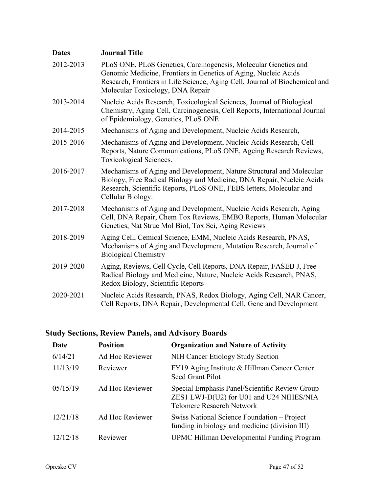| <b>Dates</b> | <b>Journal Title</b>                                                                                                                                                                                                                                  |
|--------------|-------------------------------------------------------------------------------------------------------------------------------------------------------------------------------------------------------------------------------------------------------|
| 2012-2013    | PLoS ONE, PLoS Genetics, Carcinogenesis, Molecular Genetics and<br>Genomic Medicine, Frontiers in Genetics of Aging, Nucleic Acids<br>Research, Frontiers in Life Science, Aging Cell, Journal of Biochemical and<br>Molecular Toxicology, DNA Repair |
| 2013-2014    | Nucleic Acids Research, Toxicological Sciences, Journal of Biological<br>Chemistry, Aging Cell, Carcinogenesis, Cell Reports, International Journal<br>of Epidemiology, Genetics, PLoS ONE                                                            |
| 2014-2015    | Mechanisms of Aging and Development, Nucleic Acids Research,                                                                                                                                                                                          |
| 2015-2016    | Mechanisms of Aging and Development, Nucleic Acids Research, Cell<br>Reports, Nature Communications, PLoS ONE, Ageing Research Reviews,<br>Toxicological Sciences.                                                                                    |
| 2016-2017    | Mechanisms of Aging and Development, Nature Structural and Molecular<br>Biology, Free Radical Biology and Medicine, DNA Repair, Nucleic Acids<br>Research, Scientific Reports, PLoS ONE, FEBS letters, Molecular and<br>Cellular Biology.             |
| 2017-2018    | Mechanisms of Aging and Development, Nucleic Acids Research, Aging<br>Cell, DNA Repair, Chem Tox Reviews, EMBO Reports, Human Molecular<br>Genetics, Nat Struc Mol Biol, Tox Sci, Aging Reviews                                                       |
| 2018-2019    | Aging Cell, Cemical Science, EMM, Nucleic Acids Research, PNAS,<br>Mechanisms of Aging and Development, Mutation Research, Journal of<br><b>Biological Chemistry</b>                                                                                  |
| 2019-2020    | Aging, Reviews, Cell Cycle, Cell Reports, DNA Repair, FASEB J, Free<br>Radical Biology and Medicine, Nature, Nucleic Acids Research, PNAS,<br>Redox Biology, Scientific Reports                                                                       |
| 2020-2021    | Nucleic Acids Research, PNAS, Redox Biology, Aging Cell, NAR Cancer,<br>Cell Reports, DNA Repair, Developmental Cell, Gene and Development                                                                                                            |

## **Study Sections, Review Panels, and Advisory Boards**

| Date     | <b>Position</b> | <b>Organization and Nature of Activity</b>                                                                                     |
|----------|-----------------|--------------------------------------------------------------------------------------------------------------------------------|
| 6/14/21  | Ad Hoc Reviewer | NIH Cancer Etiology Study Section                                                                                              |
| 11/13/19 | Reviewer        | FY19 Aging Institute & Hillman Cancer Center<br>Seed Grant Pilot                                                               |
| 05/15/19 | Ad Hoc Reviewer | Special Emphasis Panel/Scientific Review Group<br>ZES1 LWJ-D(U2) for U01 and U24 NIHES/NIA<br><b>Telomere Resaerch Network</b> |
| 12/21/18 | Ad Hoc Reviewer | Swiss National Science Foundation – Project<br>funding in biology and medicine (division III)                                  |
| 12/12/18 | Reviewer        | <b>UPMC Hillman Developmental Funding Program</b>                                                                              |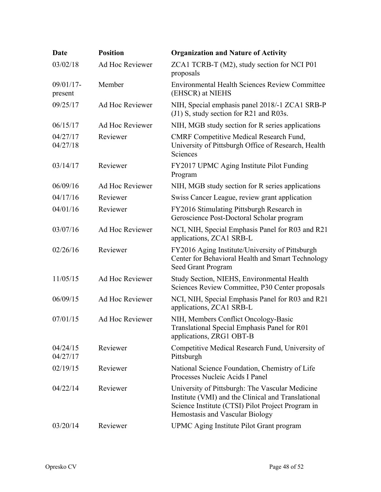| Date                    | <b>Position</b> | <b>Organization and Nature of Activity</b>                                                                                                                                                    |
|-------------------------|-----------------|-----------------------------------------------------------------------------------------------------------------------------------------------------------------------------------------------|
| 03/02/18                | Ad Hoc Reviewer | ZCA1 TCRB-T (M2), study section for NCI P01<br>proposals                                                                                                                                      |
| $09/01/17$ -<br>present | Member          | <b>Environmental Health Sciences Review Committee</b><br>(EHSCR) at NIEHS                                                                                                                     |
| 09/25/17                | Ad Hoc Reviewer | NIH, Special emphasis panel 2018/-1 ZCA1 SRB-P<br>(J1) S, study section for R21 and R03s.                                                                                                     |
| 06/15/17                | Ad Hoc Reviewer | NIH, MGB study section for R series applications                                                                                                                                              |
| 04/27/17<br>04/27/18    | Reviewer        | <b>CMRF</b> Competitive Medical Research Fund,<br>University of Pittsburgh Office of Research, Health<br>Sciences                                                                             |
| 03/14/17                | Reviewer        | FY2017 UPMC Aging Institute Pilot Funding<br>Program                                                                                                                                          |
| 06/09/16                | Ad Hoc Reviewer | NIH, MGB study section for R series applications                                                                                                                                              |
| 04/17/16                | Reviewer        | Swiss Cancer League, review grant application                                                                                                                                                 |
| 04/01/16                | Reviewer        | FY2016 Stimulating Pittsburgh Research in<br>Geroscience Post-Doctoral Scholar program                                                                                                        |
| 03/07/16                | Ad Hoc Reviewer | NCI, NIH, Special Emphasis Panel for R03 and R21<br>applications, ZCA1 SRB-L                                                                                                                  |
| 02/26/16                | Reviewer        | FY2016 Aging Institute/University of Pittsburgh<br>Center for Behavioral Health and Smart Technology<br>Seed Grant Program                                                                    |
| 11/05/15                | Ad Hoc Reviewer | Study Section, NIEHS, Environmental Health<br>Sciences Review Committee, P30 Center proposals                                                                                                 |
| 06/09/15                | Ad Hoc Reviewer | NCI, NIH, Special Emphasis Panel for R03 and R21<br>applications, ZCA1 SRB-L                                                                                                                  |
| 07/01/15                | Ad Hoc Reviewer | NIH, Members Conflict Oncology-Basic<br>Translational Special Emphasis Panel for R01<br>applications, ZRG1 OBT-B                                                                              |
| 04/24/15<br>04/27/17    | Reviewer        | Competitive Medical Research Fund, University of<br>Pittsburgh                                                                                                                                |
| 02/19/15                | Reviewer        | National Science Foundation, Chemistry of Life<br>Processes Nucleic Acids I Panel                                                                                                             |
| 04/22/14                | Reviewer        | University of Pittsburgh: The Vascular Medicine<br>Institute (VMI) and the Clinical and Translational<br>Science Institute (CTSI) Pilot Project Program in<br>Hemostasis and Vascular Biology |
| 03/20/14                | Reviewer        | UPMC Aging Institute Pilot Grant program                                                                                                                                                      |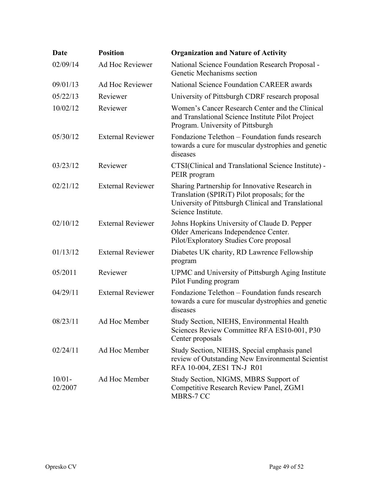| <b>Date</b>          | <b>Position</b>          | <b>Organization and Nature of Activity</b>                                                                                                                                   |
|----------------------|--------------------------|------------------------------------------------------------------------------------------------------------------------------------------------------------------------------|
| 02/09/14             | Ad Hoc Reviewer          | National Science Foundation Research Proposal -<br>Genetic Mechanisms section                                                                                                |
| 09/01/13             | Ad Hoc Reviewer          | National Science Foundation CAREER awards                                                                                                                                    |
| 05/22/13             | Reviewer                 | University of Pittsburgh CDRF research proposal                                                                                                                              |
| 10/02/12             | Reviewer                 | Women's Cancer Research Center and the Clinical<br>and Translational Science Institute Pilot Project<br>Program. University of Pittsburgh                                    |
| 05/30/12             | <b>External Reviewer</b> | Fondazione Telethon – Foundation funds research<br>towards a cure for muscular dystrophies and genetic<br>diseases                                                           |
| 03/23/12             | Reviewer                 | CTSI(Clinical and Translational Science Institute) -<br>PEIR program                                                                                                         |
| 02/21/12             | <b>External Reviewer</b> | Sharing Partnership for Innovative Research in<br>Translation (SPIRiT) Pilot proposals; for the<br>University of Pittsburgh Clinical and Translational<br>Science Institute. |
| 02/10/12             | <b>External Reviewer</b> | Johns Hopkins University of Claude D. Pepper<br>Older Americans Independence Center.<br>Pilot/Exploratory Studies Core proposal                                              |
| 01/13/12             | <b>External Reviewer</b> | Diabetes UK charity, RD Lawrence Fellowship<br>program                                                                                                                       |
| 05/2011              | Reviewer                 | UPMC and University of Pittsburgh Aging Institute<br>Pilot Funding program                                                                                                   |
| 04/29/11             | <b>External Reviewer</b> | Fondazione Telethon - Foundation funds research<br>towards a cure for muscular dystrophies and genetic<br>diseases                                                           |
| 08/23/11             | Ad Hoc Member            | Study Section, NIEHS, Environmental Health<br>Sciences Review Committee RFA ES10-001, P30<br>Center proposals                                                                |
| 02/24/11             | Ad Hoc Member            | Study Section, NIEHS, Special emphasis panel<br>review of Outstanding New Environmental Scientist<br>RFA 10-004, ZES1 TN-J R01                                               |
| $10/01 -$<br>02/2007 | Ad Hoc Member            | Study Section, NIGMS, MBRS Support of<br>Competitive Research Review Panel, ZGM1<br>MBRS-7 CC                                                                                |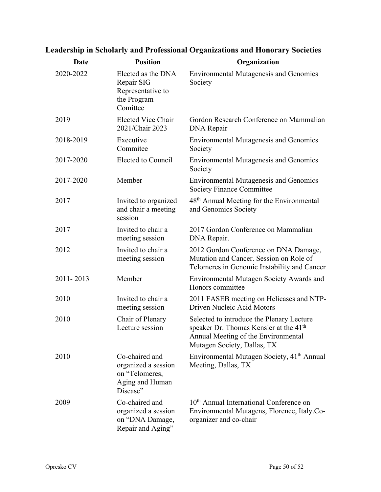| Date      | <b>Position</b>                                                                        | Organization                                                                                                                                                          |
|-----------|----------------------------------------------------------------------------------------|-----------------------------------------------------------------------------------------------------------------------------------------------------------------------|
| 2020-2022 | Elected as the DNA<br>Repair SIG<br>Representative to<br>the Program<br>Comittee       | <b>Environmental Mutagenesis and Genomics</b><br>Society                                                                                                              |
| 2019      | <b>Elected Vice Chair</b><br>2021/Chair 2023                                           | Gordon Research Conference on Mammalian<br><b>DNA</b> Repair                                                                                                          |
| 2018-2019 | Executive<br>Commitee                                                                  | <b>Environmental Mutagenesis and Genomics</b><br>Society                                                                                                              |
| 2017-2020 | Elected to Council                                                                     | <b>Environmental Mutagenesis and Genomics</b><br>Society                                                                                                              |
| 2017-2020 | Member                                                                                 | <b>Environmental Mutagenesis and Genomics</b><br><b>Society Finance Committee</b>                                                                                     |
| 2017      | Invited to organized<br>and chair a meeting<br>session                                 | 48 <sup>th</sup> Annual Meeting for the Environmental<br>and Genomics Society                                                                                         |
| 2017      | Invited to chair a<br>meeting session                                                  | 2017 Gordon Conference on Mammalian<br>DNA Repair.                                                                                                                    |
| 2012      | Invited to chair a<br>meeting session                                                  | 2012 Gordon Conference on DNA Damage,<br>Mutation and Cancer. Session on Role of<br>Telomeres in Genomic Instability and Cancer                                       |
| 2011-2013 | Member                                                                                 | Environmental Mutagen Society Awards and<br>Honors committee                                                                                                          |
| 2010      | Invited to chair a<br>meeting session                                                  | 2011 FASEB meeting on Helicases and NTP-<br>Driven Nucleic Acid Motors                                                                                                |
| 2010      | Chair of Plenary<br>Lecture session                                                    | Selected to introduce the Plenary Lecture<br>speaker Dr. Thomas Kensler at the 41 <sup>th</sup><br>Annual Meeting of the Environmental<br>Mutagen Society, Dallas, TX |
| 2010      | Co-chaired and<br>organized a session<br>on "Telomeres,<br>Aging and Human<br>Disease" | Environmental Mutagen Society, 41 <sup>th</sup> Annual<br>Meeting, Dallas, TX                                                                                         |
| 2009      | Co-chaired and<br>organized a session<br>on "DNA Damage,<br>Repair and Aging"          | 10 <sup>th</sup> Annual International Conference on<br>Environmental Mutagens, Florence, Italy.Co-<br>organizer and co-chair                                          |

## **Leadership in Scholarly and Professional Organizations and Honorary Societies**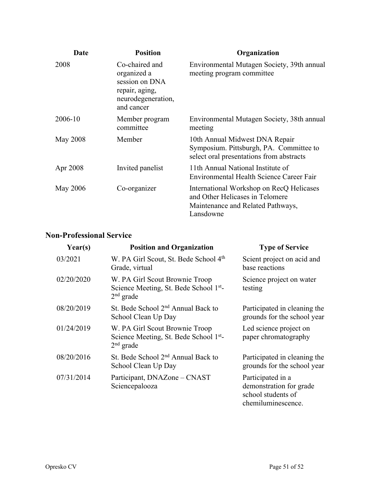| Date            | <b>Position</b>                                                                                       | Organization                                                                                                                  |
|-----------------|-------------------------------------------------------------------------------------------------------|-------------------------------------------------------------------------------------------------------------------------------|
| 2008            | Co-chaired and<br>organized a<br>session on DNA<br>repair, aging,<br>neurodegeneration,<br>and cancer | Environmental Mutagen Society, 39th annual<br>meeting program committee                                                       |
| 2006-10         | Member program<br>committee                                                                           | Environmental Mutagen Society, 38th annual<br>meeting                                                                         |
| <b>May 2008</b> | Member                                                                                                | 10th Annual Midwest DNA Repair<br>Symposium. Pittsburgh, PA. Committee to<br>select oral presentations from abstracts         |
| Apr 2008        | Invited panelist                                                                                      | 11th Annual National Institute of<br>Environmental Health Science Career Fair                                                 |
| May 2006        | Co-organizer                                                                                          | International Workshop on RecQ Helicases<br>and Other Helicases in Telomere<br>Maintenance and Related Pathways,<br>Lansdowne |

### **Non-Professional Service**

| Year(s)    | <b>Position and Organization</b>                                                                    | <b>Type of Service</b>                                                                   |
|------------|-----------------------------------------------------------------------------------------------------|------------------------------------------------------------------------------------------|
| 03/2021    | W. PA Girl Scout, St. Bede School 4th<br>Grade, virtual                                             | Scient project on acid and<br>base reactions                                             |
| 02/20/2020 | W. PA Girl Scout Brownie Troop<br>Science Meeting, St. Bede School 1 <sup>st</sup> -<br>$2nd$ grade | Science project on water<br>testing                                                      |
| 08/20/2019 | St. Bede School 2 <sup>nd</sup> Annual Back to<br>School Clean Up Day                               | Participated in cleaning the<br>grounds for the school year                              |
| 01/24/2019 | W. PA Girl Scout Brownie Troop<br>Science Meeting, St. Bede School 1 <sup>st</sup> -<br>$2nd$ grade | Led science project on<br>paper chromatography                                           |
| 08/20/2016 | St. Bede School 2 <sup>nd</sup> Annual Back to<br>School Clean Up Day                               | Participated in cleaning the<br>grounds for the school year                              |
| 07/31/2014 | Participant, DNAZone - CNAST<br>Sciencepalooza                                                      | Participated in a<br>demonstration for grade<br>school students of<br>chemiluminescence. |